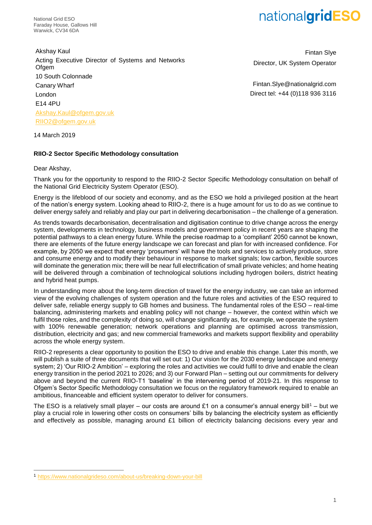National Grid ESO Faraday House, Gallows Hill Warwick, CV34 6DA

# nationalgridESO

Akshay Kaul Acting Executive Director of Systems and Networks **Ofgem** 10 South Colonnade Canary Wharf London E14 4PU [Akshay.Kaul@ofgem.gov.uk](mailto:Akshay.Kaul@ofgem.gov.uk) [RIIO2@ofgem.gov.uk](mailto:RIIO2@ofgem.gov.uk)

Fintan Slye Director, UK System Operator

Fintan.Slye@nationalgrid.com Direct tel: +44 (0)118 936 3116

14 March 2019

## **RIIO-2 Sector Specific Methodology consultation**

Dear Akshay,

-

Thank you for the opportunity to respond to the RIIO-2 Sector Specific Methodology consultation on behalf of the National Grid Electricity System Operator (ESO).

Energy is the lifeblood of our society and economy, and as the ESO we hold a privileged position at the heart of the nation's energy system. Looking ahead to RIIO-2, there is a huge amount for us to do as we continue to deliver energy safely and reliably and play our part in delivering decarbonisation – the challenge of a generation.

As trends towards decarbonisation, decentralisation and digitisation continue to drive change across the energy system, developments in technology, business models and government policy in recent years are shaping the potential pathways to a clean energy future. While the precise roadmap to a 'compliant' 2050 cannot be known, there are elements of the future energy landscape we can forecast and plan for with increased confidence. For example, by 2050 we expect that energy 'prosumers' will have the tools and services to actively produce, store and consume energy and to modify their behaviour in response to market signals; low carbon, flexible sources will dominate the generation mix; there will be near full electrification of small private vehicles; and home heating will be delivered through a combination of technological solutions including hydrogen boilers, district heating and hybrid heat pumps.

In understanding more about the long-term direction of travel for the energy industry, we can take an informed view of the evolving challenges of system operation and the future roles and activities of the ESO required to deliver safe, reliable energy supply to GB homes and business. The fundamental roles of the ESO – real-time balancing, administering markets and enabling policy will not change – however, the context within which we fulfil those roles, and the complexity of doing so, will change significantly as, for example, we operate the system with 100% renewable generation; network operations and planning are optimised across transmission, distribution, electricity and gas; and new commercial frameworks and markets support flexibility and operability across the whole energy system.

RIIO-2 represents a clear opportunity to position the ESO to drive and enable this change. Later this month, we will publish a suite of three documents that will set out: 1) Our vision for the 2030 energy landscape and energy system; 2) 'Our RIIO-2 Ambition' – exploring the roles and activities we could fulfil to drive and enable the clean energy transition in the period 2021 to 2026; and 3) our Forward Plan – setting out our commitments for delivery above and beyond the current RIIO-T1 'baseline' in the intervening period of 2019-21. In this response to Ofgem's Sector Specific Methodology consultation we focus on the regulatory framework required to enable an ambitious, financeable and efficient system operator to deliver for consumers.

The ESO is a relatively small player – our costs are around £1 on a consumer's annual energy bill<sup>1</sup> – but we play a crucial role in lowering other costs on consumers' bills by balancing the electricity system as efficiently and effectively as possible, managing around £1 billion of electricity balancing decisions every year and

<sup>1</sup> <https://www.nationalgrideso.com/about-us/breaking-down-your-bill>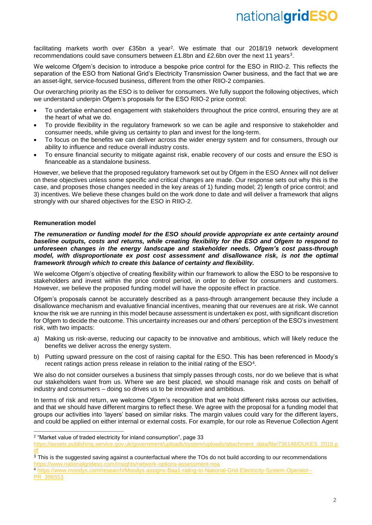facilitating markets worth over £35bn a year<sup>2</sup>. We estimate that our 2018/19 network development recommendations could save consumers between £1.8bn and £2.6bn over the next 11 years<sup>3</sup>.

We welcome Ofgem's decision to introduce a bespoke price control for the ESO in RIIO-2. This reflects the separation of the ESO from National Grid's Electricity Transmission Owner business, and the fact that we are an asset-light, service-focused business, different from the other RIIO-2 companies.

Our overarching priority as the ESO is to deliver for consumers. We fully support the following objectives, which we understand underpin Ofgem's proposals for the ESO RIIO-2 price control:

- To undertake enhanced engagement with stakeholders throughout the price control, ensuring they are at the heart of what we do.
- To provide flexibility in the regulatory framework so we can be agile and responsive to stakeholder and consumer needs, while giving us certainty to plan and invest for the long-term.
- To focus on the benefits we can deliver across the wider energy system and for consumers, through our ability to influence and reduce overall industry costs.
- To ensure financial security to mitigate against risk, enable recovery of our costs and ensure the ESO is financeable as a standalone business.

However, we believe that the proposed regulatory framework set out by Ofgem in the ESO Annex will not deliver on these objectives unless some specific and critical changes are made. Our response sets out why this is the case, and proposes those changes needed in the key areas of 1) funding model; 2) length of price control; and 3) incentives. We believe these changes build on the work done to date and will deliver a framework that aligns strongly with our shared objectives for the ESO in RIIO-2.

# **Remuneration model**

 $\overline{a}$ 

*The remuneration or funding model for the ESO should provide appropriate ex ante certainty around baseline outputs, costs and returns, while creating flexibility for the ESO and Ofgem to respond to unforeseen changes in the energy landscape and stakeholder needs. Ofgem's cost pass-through model, with disproportionate ex post cost assessment and disallowance risk, is not the optimal framework through which to create this balance of certainty and flexibility.* 

We welcome Ofgem's objective of creating flexibility within our framework to allow the ESO to be responsive to stakeholders and invest within the price control period, in order to deliver for consumers and customers. However, we believe the proposed funding model will have the opposite effect in practice.

Ofgem's proposals cannot be accurately described as a pass-through arrangement because they include a disallowance mechanism and evaluative financial incentives, meaning that our revenues are at risk. We cannot know the risk we are running in this model because assessment is undertaken ex post, with significant discretion for Ofgem to decide the outcome. This uncertainty increases our and others' perception of the ESO's investment risk, with two impacts:

- a) Making us risk-averse, reducing our capacity to be innovative and ambitious, which will likely reduce the benefits we deliver across the energy system.
- b) Putting upward pressure on the cost of raising capital for the ESO. This has been referenced in Moody's recent ratings action press release in relation to the initial rating of the  $ESO<sup>4</sup>$ .

We also do not consider ourselves a business that simply passes through costs, nor do we believe that is what our stakeholders want from us. Where we are best placed, we should manage risk and costs on behalf of industry and consumers – doing so drives us to be innovative and ambitious.

In terms of risk and return, we welcome Ofgem's recognition that we hold different risks across our activities, and that we should have different margins to reflect these. We agree with the proposal for a funding model that groups our activities into 'layers' based on similar risks. The margin values could vary for the different layers, and could be applied on either internal or external costs. For example, for our role as Revenue Collection Agent

<sup>&</sup>lt;sup>2</sup> "Market value of traded electricity for inland consumption", page 33

[https://assets.publishing.service.gov.uk/government/uploads/system/uploads/attachment\\_data/file/736148/DUKES\\_2018.p](https://assets.publishing.service.gov.uk/government/uploads/system/uploads/attachment_data/file/736148/DUKES_2018.pdf) [df](https://assets.publishing.service.gov.uk/government/uploads/system/uploads/attachment_data/file/736148/DUKES_2018.pdf)

<sup>&</sup>lt;sup>3</sup> This is the suggested saving against a counterfactual where the TOs do not build according to our recommendations <https://www.nationalgrideso.com/insights/network-options-assessment-noa>

<sup>4</sup> [https://www.moodys.com/research/Moodys-assigns-Baa1-rating-to-National-Grid-Electricity-System-Operator--](https://www.moodys.com/research/Moodys-assigns-Baa1-rating-to-National-Grid-Electricity-System-Operator--PR_396553) [PR\\_396553](https://www.moodys.com/research/Moodys-assigns-Baa1-rating-to-National-Grid-Electricity-System-Operator--PR_396553)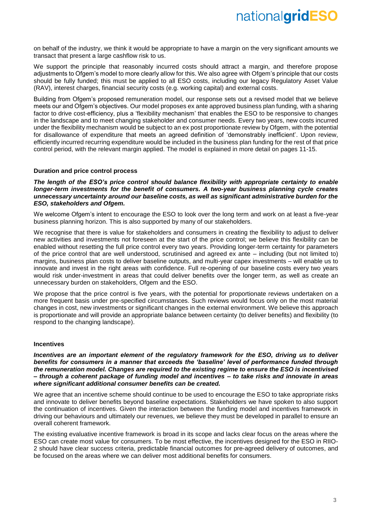on behalf of the industry, we think it would be appropriate to have a margin on the very significant amounts we transact that present a large cashflow risk to us.

We support the principle that reasonably incurred costs should attract a margin, and therefore propose adjustments to Ofgem's model to more clearly allow for this. We also agree with Ofgem's principle that our costs should be fully funded; this must be applied to all ESO costs, including our legacy Regulatory Asset Value (RAV), interest charges, financial security costs (e.g. working capital) and external costs.

Building from Ofgem's proposed remuneration model, our response sets out a revised model that we believe meets our and Ofgem's objectives. Our model proposes ex ante approved business plan funding, with a sharing factor to drive cost-efficiency, plus a 'flexibility mechanism' that enables the ESO to be responsive to changes in the landscape and to meet changing stakeholder and consumer needs. Every two years, new costs incurred under the flexibility mechanism would be subject to an ex post proportionate review by Ofgem, with the potential for disallowance of expenditure that meets an agreed definition of 'demonstrably inefficient'. Upon review, efficiently incurred recurring expenditure would be included in the business plan funding for the rest of that price control period, with the relevant margin applied. The model is explained in more detail on pages 11-15.

## **Duration and price control process**

*The length of the ESO's price control should balance flexibility with appropriate certainty to enable longer-term investments for the benefit of consumers. A two-year business planning cycle creates unnecessary uncertainty around our baseline costs, as well as significant administrative burden for the ESO, stakeholders and Ofgem.*

We welcome Ofgem's intent to encourage the ESO to look over the long term and work on at least a five-year business planning horizon. This is also supported by many of our stakeholders.

We recognise that there is value for stakeholders and consumers in creating the flexibility to adjust to deliver new activities and investments not foreseen at the start of the price control; we believe this flexibility can be enabled without resetting the full price control every two years. Providing longer-term certainty for parameters of the price control that are well understood, scrutinised and agreed ex ante – including (but not limited to) margins, business plan costs to deliver baseline outputs, and multi-year capex investments – will enable us to innovate and invest in the right areas with confidence. Full re-opening of our baseline costs every two years would risk under-investment in areas that could deliver benefits over the longer term, as well as create an unnecessary burden on stakeholders, Ofgem and the ESO.

We propose that the price control is five years, with the potential for proportionate reviews undertaken on a more frequent basis under pre-specified circumstances. Such reviews would focus only on the most material changes in cost, new investments or significant changes in the external environment. We believe this approach is proportionate and will provide an appropriate balance between certainty (to deliver benefits) and flexibility (to respond to the changing landscape).

#### **Incentives**

*Incentives are an important element of the regulatory framework for the ESO, driving us to deliver benefits for consumers in a manner that exceeds the 'baseline' level of performance funded through the remuneration model. Changes are required to the existing regime to ensure the ESO is incentivised – through a coherent package of funding model and incentives – to take risks and innovate in areas where significant additional consumer benefits can be created.* 

We agree that an incentive scheme should continue to be used to encourage the ESO to take appropriate risks and innovate to deliver benefits beyond baseline expectations. Stakeholders we have spoken to also support the continuation of incentives. Given the interaction between the funding model and incentives framework in driving our behaviours and ultimately our revenues, we believe they must be developed in parallel to ensure an overall coherent framework.

The existing evaluative incentive framework is broad in its scope and lacks clear focus on the areas where the ESO can create most value for consumers. To be most effective, the incentives designed for the ESO in RIIO-2 should have clear success criteria, predictable financial outcomes for pre-agreed delivery of outcomes, and be focused on the areas where we can deliver most additional benefits for consumers.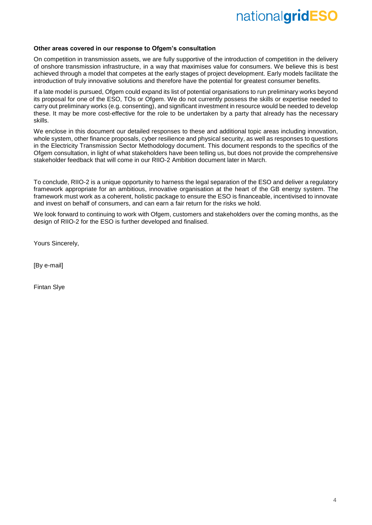## **Other areas covered in our response to Ofgem's consultation**

On competition in transmission assets, we are fully supportive of the introduction of competition in the delivery of onshore transmission infrastructure, in a way that maximises value for consumers. We believe this is best achieved through a model that competes at the early stages of project development. Early models facilitate the introduction of truly innovative solutions and therefore have the potential for greatest consumer benefits.

If a late model is pursued, Ofgem could expand its list of potential organisations to run preliminary works beyond its proposal for one of the ESO, TOs or Ofgem. We do not currently possess the skills or expertise needed to carry out preliminary works (e.g. consenting), and significant investment in resource would be needed to develop these. It may be more cost-effective for the role to be undertaken by a party that already has the necessary skills.

We enclose in this document our detailed responses to these and additional topic areas including innovation, whole system, other finance proposals, cyber resilience and physical security, as well as responses to questions in the Electricity Transmission Sector Methodology document. This document responds to the specifics of the Ofgem consultation, in light of what stakeholders have been telling us, but does not provide the comprehensive stakeholder feedback that will come in our RIIO-2 Ambition document later in March.

To conclude, RIIO-2 is a unique opportunity to harness the legal separation of the ESO and deliver a regulatory framework appropriate for an ambitious, innovative organisation at the heart of the GB energy system. The framework must work as a coherent, holistic package to ensure the ESO is financeable, incentivised to innovate and invest on behalf of consumers, and can earn a fair return for the risks we hold.

We look forward to continuing to work with Ofgem, customers and stakeholders over the coming months, as the design of RIIO-2 for the ESO is further developed and finalised.

Yours Sincerely,

[By e-mail]

Fintan Slye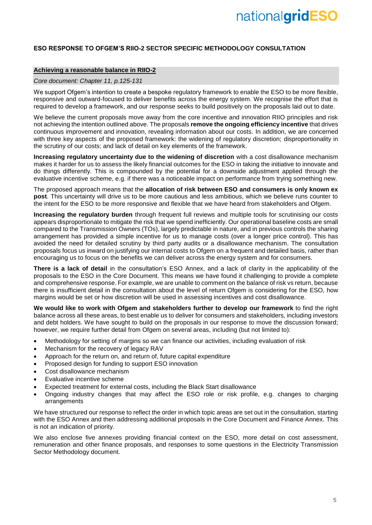# **ESO RESPONSE TO OFGEM'S RIIO-2 SECTOR SPECIFIC METHODOLOGY CONSULTATION**

## **Achieving a reasonable balance in RIIO-2**

#### *Core document: Chapter 11, p.125-131*

We support Ofgem's intention to create a bespoke regulatory framework to enable the ESO to be more flexible, responsive and outward-focused to deliver benefits across the energy system. We recognise the effort that is required to develop a framework, and our response seeks to build positively on the proposals laid out to date.

We believe the current proposals move away from the core incentive and innovation RIIO principles and risk not achieving the intention outlined above. The proposals **remove the ongoing efficiency incentive** that drives continuous improvement and innovation, revealing information about our costs. In addition, we are concerned with three key aspects of the proposed framework: the widening of regulatory discretion; disproportionality in the scrutiny of our costs; and lack of detail on key elements of the framework.

**Increasing regulatory uncertainty due to the widening of discretion** with a cost disallowance mechanism makes it harder for us to assess the likely financial outcomes for the ESO in taking the initiative to innovate and do things differently. This is compounded by the potential for a downside adjustment applied through the evaluative incentive scheme, e.g. if there was a noticeable impact on performance from trying something new.

The proposed approach means that the **allocation of risk between ESO and consumers is only known ex post**. This uncertainty will drive us to be more cautious and less ambitious, which we believe runs counter to the intent for the ESO to be more responsive and flexible that we have heard from stakeholders and Ofgem.

**Increasing the regulatory burden** through frequent full reviews and multiple tools for scrutinising our costs appears disproportionate to mitigate the risk that we spend inefficiently. Our operational baseline costs are small compared to the Transmission Owners (TOs), largely predictable in nature, and in previous controls the sharing arrangement has provided a simple incentive for us to manage costs (over a longer price control). This has avoided the need for detailed scrutiny by third party audits or a disallowance mechanism. The consultation proposals focus us inward on justifying our internal costs to Ofgem on a frequent and detailed basis, rather than encouraging us to focus on the benefits we can deliver across the energy system and for consumers.

**There is a lack of detail** in the consultation's ESO Annex, and a lack of clarity in the applicability of the proposals to the ESO in the Core Document. This means we have found it challenging to provide a complete and comprehensive response. For example, we are unable to comment on the balance of risk vs return, because there is insufficient detail in the consultation about the level of return Ofgem is considering for the ESO, how margins would be set or how discretion will be used in assessing incentives and cost disallowance.

**We would like to work with Ofgem and stakeholders further to develop our framework** to find the right balance across all these areas, to best enable us to deliver for consumers and stakeholders, including investors and debt holders. We have sought to build on the proposals in our response to move the discussion forward; however, we require further detail from Ofgem on several areas, including (but not limited to):

- Methodology for setting of margins so we can finance our activities, including evaluation of risk
- Mechanism for the recovery of legacy RAV
- Approach for the return on, and return of, future capital expenditure
- Proposed design for funding to support ESO innovation
- Cost disallowance mechanism
- Evaluative incentive scheme
- Expected treatment for external costs, including the Black Start disallowance
- Ongoing industry changes that may affect the ESO role or risk profile, e.g. changes to charging arrangements

We have structured our response to reflect the order in which topic areas are set out in the consultation, starting with the ESO Annex and then addressing additional proposals in the Core Document and Finance Annex. This is not an indication of priority.

We also enclose five annexes providing financial context on the ESO, more detail on cost assessment, remuneration and other finance proposals, and responses to some questions in the Electricity Transmission Sector Methodology document.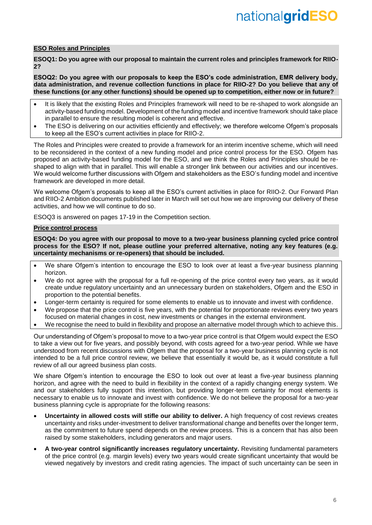### **ESO Roles and Principles**

**ESOQ1: Do you agree with our proposal to maintain the current roles and principles framework for RIIO-2?**

**ESOQ2: Do you agree with our proposals to keep the ESO's code administration, EMR delivery body, data administration, and revenue collection functions in place for RIIO-2? Do you believe that any of these functions (or any other functions) should be opened up to competition, either now or in future?**

- It is likely that the existing Roles and Principles framework will need to be re-shaped to work alongside an activity-based funding model. Development of the funding model and incentive framework should take place in parallel to ensure the resulting model is coherent and effective.
- The ESO is delivering on our activities efficiently and effectively; we therefore welcome Ofgem's proposals to keep all the ESO's current activities in place for RIIO-2.

The Roles and Principles were created to provide a framework for an interim incentive scheme, which will need to be reconsidered in the context of a new funding model and price control process for the ESO. Ofgem has proposed an activity-based funding model for the ESO, and we think the Roles and Principles should be reshaped to align with that in parallel. This will enable a stronger link between our activities and our incentives. We would welcome further discussions with Ofgem and stakeholders as the ESO's funding model and incentive framework are developed in more detail.

We welcome Ofgem's proposals to keep all the ESO's current activities in place for RIIO-2. Our Forward Plan and RIIO-2 Ambition documents published later in March will set out how we are improving our delivery of these activities, and how we will continue to do so.

ESOQ3 is answered on pages 17-19 in the Competition section.

## **Price control process**

**ESOQ4: Do you agree with our proposal to move to a two-year business planning cycled price control process for the ESO? If not, please outline your preferred alternative, noting any key features (e.g. uncertainty mechanisms or re-openers) that should be included.**

- We share Ofgem's intention to encourage the ESO to look over at least a five-year business planning horizon.
- We do not agree with the proposal for a full re-opening of the price control every two years, as it would create undue regulatory uncertainty and an unnecessary burden on stakeholders, Ofgem and the ESO in proportion to the potential benefits.
- Longer-term certainty is required for some elements to enable us to innovate and invest with confidence.
- We propose that the price control is five years, with the potential for proportionate reviews every two years focused on material changes in cost, new investments or changes in the external environment.
- We recognise the need to build in flexibility and propose an alternative model through which to achieve this.

Our understanding of Ofgem's proposal to move to a two-year price control is that Ofgem would expect the ESO to take a view out for five years, and possibly beyond, with costs agreed for a two-year period. While we have understood from recent discussions with Ofgem that the proposal for a two-year business planning cycle is not intended to be a full price control review, we believe that essentially it would be, as it would constitute a full review of all our agreed business plan costs.

We share Ofgem's intention to encourage the ESO to look out over at least a five-year business planning horizon, and agree with the need to build in flexibility in the context of a rapidly changing energy system. We and our stakeholders fully support this intention, but providing longer-term certainty for most elements is necessary to enable us to innovate and invest with confidence. We do not believe the proposal for a two-year business planning cycle is appropriate for the following reasons:

- **Uncertainty in allowed costs will stifle our ability to deliver.** A high frequency of cost reviews creates uncertainty and risks under-investment to deliver transformational change and benefits over the longer term, as the commitment to future spend depends on the review process. This is a concern that has also been raised by some stakeholders, including generators and major users.
- **A two-year control significantly increases regulatory uncertainty.** Revisiting fundamental parameters of the price control (e.g. margin levels) every two years would create significant uncertainty that would be viewed negatively by investors and credit rating agencies. The impact of such uncertainty can be seen in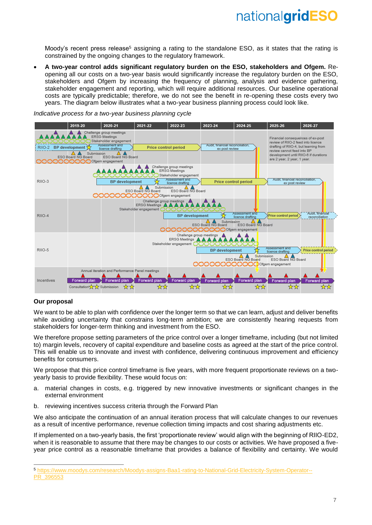Moody's recent press release<sup>5</sup> assigning a rating to the standalone ESO, as it states that the rating is constrained by the ongoing changes to the regulatory framework.

• **A two-year control adds significant regulatory burden on the ESO, stakeholders and Ofgem.** Reopening all our costs on a two-year basis would significantly increase the regulatory burden on the ESO, stakeholders and Ofgem by increasing the frequency of planning, analysis and evidence gathering, stakeholder engagement and reporting, which will require additional resources. Our baseline operational costs are typically predictable; therefore, we do not see the benefit in re-opening these costs every two years. The diagram below illustrates what a two-year business planning process could look like.



*Indicative process for a two-year business planning cycle*

#### **Our proposal**

-

We want to be able to plan with confidence over the longer term so that we can learn, adjust and deliver benefits while avoiding uncertainty that constrains long-term ambition; we are consistently hearing requests from stakeholders for longer-term thinking and investment from the ESO.

We therefore propose setting parameters of the price control over a longer timeframe, including (but not limited to) margin levels, recovery of capital expenditure and baseline costs as agreed at the start of the price control. This will enable us to innovate and invest with confidence, delivering continuous improvement and efficiency benefits for consumers.

We propose that this price control timeframe is five years, with more frequent proportionate reviews on a twoyearly basis to provide flexibility. These would focus on:

- a. material changes in costs, e.g. triggered by new innovative investments or significant changes in the external environment
- b. reviewing incentives success criteria through the Forward Plan

We also anticipate the continuation of an annual iteration process that will calculate changes to our revenues as a result of incentive performance, revenue collection timing impacts and cost sharing adjustments etc.

If implemented on a two-yearly basis, the first 'proportionate review' would align with the beginning of RIIO-ED2, when it is reasonable to assume that there may be changes to our costs or activities. We have proposed a fiveyear price control as a reasonable timeframe that provides a balance of flexibility and certainty. We would

<sup>5</sup> [https://www.moodys.com/research/Moodys-assigns-Baa1-rating-to-National-Grid-Electricity-System-Operator--](https://www.moodys.com/research/Moodys-assigns-Baa1-rating-to-National-Grid-Electricity-System-Operator--PR_396553) [PR\\_396553](https://www.moodys.com/research/Moodys-assigns-Baa1-rating-to-National-Grid-Electricity-System-Operator--PR_396553)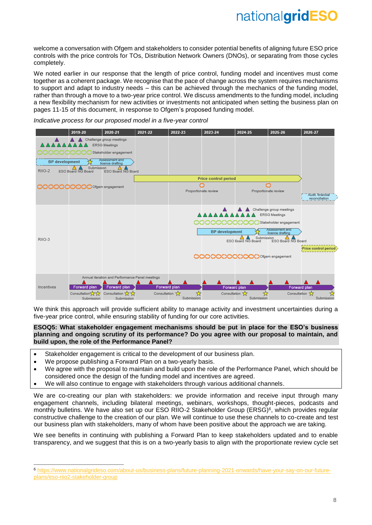welcome a conversation with Ofgem and stakeholders to consider potential benefits of aligning future ESO price controls with the price controls for TOs, Distribution Network Owners (DNOs), or separating from those cycles completely.

We noted earlier in our response that the length of price control, funding model and incentives must come together as a coherent package. We recognise that the pace of change across the system requires mechanisms to support and adapt to industry needs – this can be achieved through the mechanics of the funding model, rather than through a move to a two-year price control. We discuss amendments to the funding model, including a new flexibility mechanism for new activities or investments not anticipated when setting the business plan on pages 11-15 of this document, in response to Ofgem's proposed funding model.

*Indicative process for our proposed model in a five-year control*



We think this approach will provide sufficient ability to manage activity and investment uncertainties during a five-year price control, while ensuring stability of funding for our core activities.

### **ESOQ5: What stakeholder engagement mechanisms should be put in place for the ESO's business planning and ongoing scrutiny of its performance? Do you agree with our proposal to maintain, and build upon, the role of the Performance Panel?**

- Stakeholder engagement is critical to the development of our business plan.
- We propose publishing a Forward Plan on a two-yearly basis.

-

- We agree with the proposal to maintain and build upon the role of the Performance Panel, which should be considered once the design of the funding model and incentives are agreed.
- We will also continue to engage with stakeholders through various additional channels.

We are co-creating our plan with stakeholders: we provide information and receive input through many engagement channels, including bilateral meetings, webinars, workshops, thought-pieces, podcasts and monthly bulletins. We have also set up our ESO RIIO-2 Stakeholder Group (ERSG)<sup>6</sup>, which provides regular constructive challenge to the creation of our plan. We will continue to use these channels to co-create and test our business plan with stakeholders, many of whom have been positive about the approach we are taking.

We see benefits in continuing with publishing a Forward Plan to keep stakeholders updated and to enable transparency, and we suggest that this is on a two-yearly basis to align with the proportionate review cycle set

<sup>6</sup> [https://www.nationalgrideso.com/about-us/business-plans/future-planning-2021-onwards/have-your-say-on-our-future](https://www.nationalgrideso.com/about-us/business-plans/future-planning-2021-onwards/have-your-say-on-our-future-plans/eso-riio2-stakeholder-group)[plans/eso-riio2-stakeholder-group](https://www.nationalgrideso.com/about-us/business-plans/future-planning-2021-onwards/have-your-say-on-our-future-plans/eso-riio2-stakeholder-group)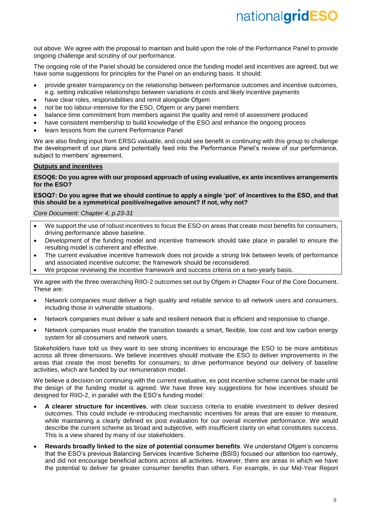out above. We agree with the proposal to maintain and build upon the role of the Performance Panel to provide ongoing challenge and scrutiny of our performance.

The ongoing role of the Panel should be considered once the funding model and incentives are agreed, but we have some suggestions for principles for the Panel on an enduring basis. It should:

- provide greater transparency on the relationship between performance outcomes and incentive outcomes, e.g. setting indicative relationships between variations in costs and likely incentive payments
- have clear roles, responsibilities and remit alongside Ofgem
- not be too labour-intensive for the ESO, Ofgem or any panel members
- balance time commitment from members against the quality and remit of assessment produced
- have consistent membership to build knowledge of the ESO and enhance the ongoing process
- learn lessons from the current Performance Panel

We are also finding input from ERSG valuable, and could see benefit in continuing with this group to challenge the development of our plans and potentially feed into the Performance Panel's review of our performance, subject to members' agreement.

## **Outputs and incentives**

### **ESOQ6: Do you agree with our proposed approach of using evaluative, ex ante incentives arrangements for the ESO?**

## **ESOQ7: Do you agree that we should continue to apply a single 'pot' of incentives to the ESO, and that this should be a symmetrical positive/negative amount? If not, why not?**

*Core Document: Chapter 4, p.23-31*

- We support the use of robust incentives to focus the ESO on areas that create most benefits for consumers, driving performance above baseline.
- Development of the funding model and incentive framework should take place in parallel to ensure the resulting model is coherent and effective.
- The current evaluative incentive framework does not provide a strong link between levels of performance and associated incentive outcome; the framework should be reconsidered.
- We propose reviewing the incentive framework and success criteria on a two-yearly basis.

We agree with the three overarching RIIO-2 outcomes set out by Ofgem in Chapter Four of the Core Document. These are:

- Network companies must deliver a high quality and reliable service to all network users and consumers, including those in vulnerable situations.
- Network companies must deliver a safe and resilient network that is efficient and responsive to change.
- Network companies must enable the transition towards a smart, flexible, low cost and low carbon energy system for all consumers and network users.

Stakeholders have told us they want to see strong incentives to encourage the ESO to be more ambitious across all three dimensions. We believe incentives should motivate the ESO to deliver improvements in the areas that create the most benefits for consumers; to drive performance beyond our delivery of baseline activities, which are funded by our remuneration model.

We believe a decision on continuing with the current evaluative, ex post incentive scheme cannot be made until the design of the funding model is agreed. We have three key suggestions for how incentives should be designed for RIIO-2, in parallel with the ESO's funding model:

- **A clearer structure for incentives**, with clear success criteria to enable investment to deliver desired outcomes. This could include re-introducing mechanistic incentives for areas that are easier to measure, while maintaining a clearly defined ex post evaluation for our overall incentive performance. We would describe the current scheme as broad and subjective, with insufficient clarity on what constitutes success. This is a view shared by many of our stakeholders.
- **Rewards broadly linked to the size of potential consumer benefits**. We understand Ofgem's concerns that the ESO's previous Balancing Services Incentive Scheme (BSIS) focused our attention too narrowly, and did not encourage beneficial actions across all activities. However, there are areas in which we have the potential to deliver far greater consumer benefits than others. For example, in our Mid-Year Report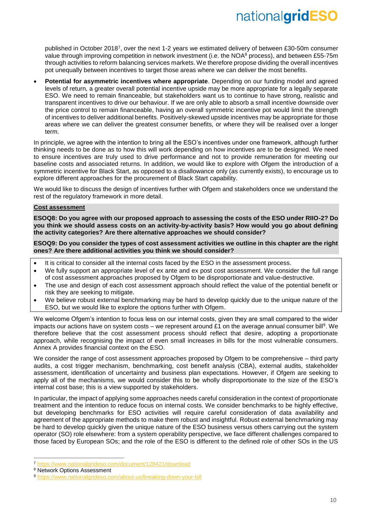published in October 2018<sup>7</sup> , over the next 1-2 years we estimated delivery of between £30-50m consumer value through improving competition in network investment (i.e. the NOA<sup>8</sup> process), and between £55-75m through activities to reform balancing services markets. We therefore propose dividing the overall incentives pot unequally between incentives to target those areas where we can deliver the most benefits.

• **Potential for asymmetric incentives where appropriate**. Depending on our funding model and agreed levels of return, a greater overall potential incentive upside may be more appropriate for a legally separate ESO. We need to remain financeable, but stakeholders want us to continue to have strong, realistic and transparent incentives to drive our behaviour. If we are only able to absorb a small incentive downside over the price control to remain financeable, having an overall symmetric incentive pot would limit the strength of incentives to deliver additional benefits. Positively-skewed upside incentives may be appropriate for those areas where we can deliver the greatest consumer benefits, or where they will be realised over a longer term.

In principle, we agree with the intention to bring all the ESO's incentives under one framework, although further thinking needs to be done as to how this will work depending on how incentives are to be designed. We need to ensure incentives are truly used to drive performance and not to provide remuneration for meeting our baseline costs and associated returns. In addition, we would like to explore with Ofgem the introduction of a symmetric incentive for Black Start, as opposed to a disallowance only (as currently exists), to encourage us to explore different approaches for the procurement of Black Start capability.

We would like to discuss the design of incentives further with Ofgem and stakeholders once we understand the rest of the regulatory framework in more detail.

## **Cost assessment**

**ESOQ8: Do you agree with our proposed approach to assessing the costs of the ESO under RIIO-2? Do you think we should assess costs on an activity-by-activity basis? How would you go about defining the activity categories? Are there alternative approaches we should consider?** 

**ESOQ9: Do you consider the types of cost assessment activities we outline in this chapter are the right ones? Are there additional activities you think we should consider?**

- It is critical to consider all the internal costs faced by the ESO in the assessment process.
- We fully support an appropriate level of ex ante and ex post cost assessment. We consider the full range of cost assessment approaches proposed by Ofgem to be disproportionate and value-destructive.
- The use and design of each cost assessment approach should reflect the value of the potential benefit or risk they are seeking to mitigate.
- We believe robust external benchmarking may be hard to develop quickly due to the unique nature of the ESO, but we would like to explore the options further with Ofgem.

We welcome Ofgem's intention to focus less on our internal costs, given they are small compared to the wider impacts our actions have on system costs – we represent around  $£1$  on the average annual consumer bill<sup>9</sup>. We therefore believe that the cost assessment process should reflect that desire, adopting a proportionate approach, while recognising the impact of even small increases in bills for the most vulnerable consumers. Annex A provides financial context on the ESO.

We consider the range of cost assessment approaches proposed by Ofgem to be comprehensive – third party audits, a cost trigger mechanism, benchmarking, cost benefit analysis (CBA), external audits, stakeholder assessment, identification of uncertainty and business plan expectations. However, if Ofgem are seeking to apply all of the mechanisms, we would consider this to be wholly disproportionate to the size of the ESO's internal cost base; this is a view supported by stakeholders.

In particular, the impact of applying some approaches needs careful consideration in the context of proportionate treatment and the intention to reduce focus on internal costs. We consider benchmarks to be highly effective, but developing benchmarks for ESO activities will require careful consideration of data availability and agreement of the appropriate methods to make them robust and insightful. Robust external benchmarking may be hard to develop quickly given the unique nature of the ESO business versus others carrying out the system operator (SO) role elsewhere: from a system operability perspective, we face different challenges compared to those faced by European SOs; and the role of the ESO is different to the defined role of other SOs in the US

-

<sup>7</sup> <https://www.nationalgrideso.com/document/128421/download>

<sup>8</sup> Network Options Assessment

<sup>9</sup> <https://www.nationalgrideso.com/about-us/breaking-down-your-bill>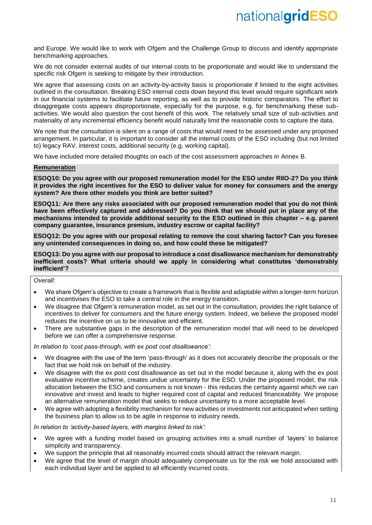and Europe. We would like to work with Ofgem and the Challenge Group to discuss and identify appropriate benchmarking approaches.

We do not consider external audits of our internal costs to be proportionate and would like to understand the specific risk Ofgem is seeking to mitigate by their introduction.

We agree that assessing costs on an activity-by-activity basis is proportionate if limited to the eight activities outlined in the consultation. Breaking ESO internal costs down beyond this level would require significant work in our financial systems to facilitate future reporting, as well as to provide historic comparators. The effort to disaggregate costs appears disproportionate, especially for the purpose, e.g. for benchmarking these subactivities. We would also question the cost benefit of this work. The relatively small size of sub-activities and materiality of any incremental efficiency benefit would naturally limit the reasonable costs to capture the data.

We note that the consultation is silent on a range of costs that would need to be assessed under any proposed arrangement. In particular, it is important to consider all the internal costs of the ESO including (but not limited to) legacy RAV, interest costs, additional security (e.g. working capital).

We have included more detailed thoughts on each of the cost assessment approaches in Annex B.

#### **Remuneration**

**ESOQ10: Do you agree with our proposed remuneration model for the ESO under RIIO-2? Do you think it provides the right incentives for the ESO to deliver value for money for consumers and the energy system? Are there other models you think are better suited?** 

**ESOQ11: Are there any risks associated with our proposed remuneration model that you do not think have been effectively captured and addressed? Do you think that we should put in place any of the mechanisms intended to provide additional security to the ESO outlined in this chapter – e.g. parent company guarantee, insurance premium, industry escrow or capital facility?**

**ESOQ12: Do you agree with our proposal relating to remove the cost sharing factor? Can you foresee any unintended consequences in doing so, and how could these be mitigated?** 

**ESOQ13: Do you agree with our proposal to introduce a cost disallowance mechanism for demonstrably inefficient costs? What criteria should we apply in considering what constitutes 'demonstrably inefficient'?**

*Overall:*

- We share Ofgem's objective to create a framework that is flexible and adaptable within a longer-term horizon and incentivises the ESO to take a central role in the energy transition.
- We disagree that Ofgem's remuneration model, as set out in the consultation, provides the right balance of incentives to deliver for consumers and the future energy system. Indeed, we believe the proposed model reduces the incentive on us to be innovative and efficient.
- There are substantive gaps in the description of the remuneration model that will need to be developed before we can offer a comprehensive response.

*In relation to 'cost pass-through, with ex post cost disallowance':*

- We disagree with the use of the term 'pass-through' as it does not accurately describe the proposals or the fact that we hold risk on behalf of the industry.
- We disagree with the ex post cost disallowance as set out in the model because it, along with the ex post evaluative incentive scheme, creates undue uncertainty for the ESO. Under the proposed model, the risk allocation between the ESO and consumers is not known - this reduces the certainty against which we can innovative and invest and leads to higher required cost of capital and reduced financeability. We propose an alternative remuneration model that seeks to reduce uncertainty to a more acceptable level.
- We agree with adopting a flexibility mechanism for new activities or investments not anticipated when setting the business plan to allow us to be agile in response to industry needs.

*In relation to 'activity-based layers, with margins linked to risk':*

- We agree with a funding model based on grouping activities into a small number of 'layers' to balance simplicity and transparency.
- We support the principle that all reasonably incurred costs should attract the relevant margin.
- We agree that the level of margin should adequately compensate us for the risk we hold associated with each individual layer and be applied to all efficiently incurred costs.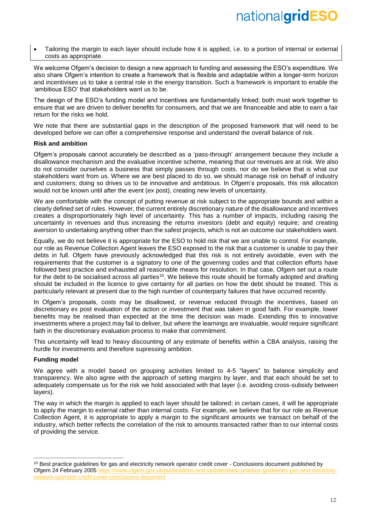• Tailoring the margin to each layer should include how it is applied, i.e. to a portion of internal or external costs as appropriate.

We welcome Ofgem's decision to design a new approach to funding and assessing the ESO's expenditure. We also share Ofgem's intention to create a framework that is flexible and adaptable within a longer-term horizon and incentivises us to take a central role in the energy transition. Such a framework is important to enable the 'ambitious ESO' that stakeholders want us to be.

The design of the ESO's funding model and incentives are fundamentally linked; both must work together to ensure that we are driven to deliver benefits for consumers, and that we are financeable and able to earn a fair return for the risks we hold.

We note that there are substantial gaps in the description of the proposed framework that will need to be developed before we can offer a comprehensive response and understand the overall balance of risk.

## **Risk and ambition**

Ofgem's proposals cannot accurately be described as a 'pass-through' arrangement because they include a disallowance mechanism and the evaluative incentive scheme, meaning that our revenues are at risk. We also do not consider ourselves a business that simply passes through costs, nor do we believe that is what our stakeholders want from us. Where we are best placed to do so, we should manage risk on behalf of industry and customers; doing so drives us to be innovative and ambitious. In Ofgem's proposals, this risk allocation would not be known until after the event (ex post), creating new levels of uncertainty.

We are comfortable with the concept of putting revenue at risk subject to the appropriate bounds and within a clearly defined set of rules. However, the current entirely discretionary nature of the disallowance and incentives creates a disproportionately high level of uncertainty. This has a number of impacts, including raising the uncertainty in revenues and thus increasing the returns investors (debt and equity) require; and creating aversion to undertaking anything other than the safest projects, which is not an outcome our stakeholders want.

Equally, we do not believe it is appropriate for the ESO to hold risk that we are unable to control. For example, our role as Revenue Collection Agent leaves the ESO exposed to the risk that a customer is unable to pay their debts in full. Ofgem have previously acknowledged that this risk is not entirely avoidable, even with the requirements that the customer is a signatory to one of the governing codes and that collection efforts have followed best practice and exhausted all reasonable means for resolution. In that case, Ofgem set out a route for the debt to be socialised across all parties<sup>10</sup>. We believe this route should be formally adopted and drafting should be included in the licence to give certainty for all parties on how the debt should be treated. This is particularly relevant at present due to the high number of counterparty failures that have occurred recently.

In Ofgem's proposals, costs may be disallowed, or revenue reduced through the incentives, based on discretionary ex post evaluation of the action or investment that was taken in good faith. For example, lower benefits may be realised than expected at the time the decision was made. Extending this to innovative investments where a project may fail to deliver, but where the learnings are invaluable, would require significant faith in the discretionary evaluation process to make that commitment.

This uncertainty will lead to heavy discounting of any estimate of benefits within a CBA analysis, raising the hurdle for investments and therefore supressing ambition.

# **Funding model**

-

We agree with a model based on grouping activities limited to 4-5 "layers" to balance simplicity and transparency. We also agree with the approach of setting margins by layer, and that each should be set to adequately compensate us for the risk we hold associated with that layer (i.e. avoiding cross-subsidy between layers).

The way in which the margin is applied to each layer should be tailored; in certain cases, it will be appropriate to apply the margin to external rather than internal costs. For example, we believe that for our role as Revenue Collection Agent, it is appropriate to apply a margin to the significant amounts we transact on behalf of the industry, which better reflects the correlation of the risk to amounts transacted rather than to our internal costs of providing the service.

<sup>&</sup>lt;sup>10</sup> Best practice guidelines for gas and electricity network operator credit cover - Conclusions document published by Ofgem 24 February 2005 [https://www.ofgem.gov.uk/publications-and-updates/best-practice-guidelines-gas-and-electricity](https://www.ofgem.gov.uk/publications-and-updates/best-practice-guidelines-gas-and-electricity-network-operator-credit-cover-conclusions-document)[network-operator-credit-cover-conclusions-document](https://www.ofgem.gov.uk/publications-and-updates/best-practice-guidelines-gas-and-electricity-network-operator-credit-cover-conclusions-document)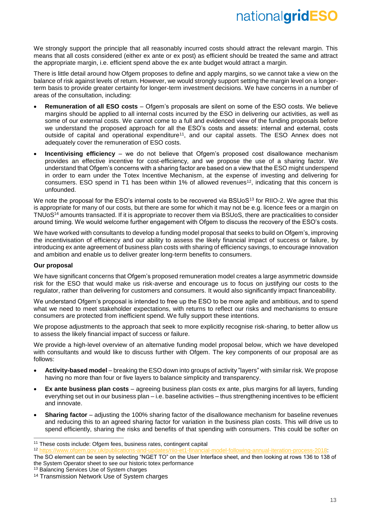We strongly support the principle that all reasonably incurred costs should attract the relevant margin. This means that all costs considered (either ex ante or ex post) as efficient should be treated the same and attract the appropriate margin, i.e. efficient spend above the ex ante budget would attract a margin.

There is little detail around how Ofgem proposes to define and apply margins, so we cannot take a view on the balance of risk against levels of return. However, we would strongly support setting the margin level on a longerterm basis to provide greater certainty for longer-term investment decisions. We have concerns in a number of areas of the consultation, including:

- **Remuneration of all ESO costs** Ofgem's proposals are silent on some of the ESO costs. We believe margins should be applied to all internal costs incurred by the ESO in delivering our activities, as well as some of our external costs. We cannot come to a full and evidenced view of the funding proposals before we understand the proposed approach for all the ESO's costs and assets: internal and external, costs outside of capital and operational expenditure<sup>11</sup>, and our capital assets. The ESO Annex does not adequately cover the remuneration of ESO costs.
- **Incentivising efficiency** we do not believe that Ofgem's proposed cost disallowance mechanism provides an effective incentive for cost-efficiency, and we propose the use of a sharing factor. We understand that Ofgem's concerns with a sharing factor are based on a view that the ESO might underspend in order to earn under the Totex Incentive Mechanism, at the expense of investing and delivering for consumers. ESO spend in T1 has been within 1% of allowed revenues<sup>12</sup>, indicating that this concern is unfounded.

We note the proposal for the ESO's internal costs to be recovered via BSUoS<sup>13</sup> for RIIO-2. We agree that this is appropriate for many of our costs, but there are some for which it may not be e.g. licence fees or a margin on TNUoS<sup>14</sup> amounts transacted. If it is appropriate to recover them via BSUoS, there are practicalities to consider around timing. We would welcome further engagement with Ofgem to discuss the recovery of the ESO's costs.

We have worked with consultants to develop a funding model proposal that seeks to build on Ofgem's, improving the incentivisation of efficiency and our ability to assess the likely financial impact of success or failure, by introducing ex ante agreement of business plan costs with sharing of efficiency savings, to encourage innovation and ambition and enable us to deliver greater long-term benefits to consumers.

# **Our proposal**

-

We have significant concerns that Ofgem's proposed remuneration model creates a large asymmetric downside risk for the ESO that would make us risk-averse and encourage us to focus on justifying our costs to the regulator, rather than delivering for customers and consumers. It would also significantly impact financeability.

We understand Ofgem's proposal is intended to free up the ESO to be more agile and ambitious, and to spend what we need to meet stakeholder expectations, with returns to reflect our risks and mechanisms to ensure consumers are protected from inefficient spend. We fully support these intentions.

We propose adjustments to the approach that seek to more explicitly recognise risk-sharing, to better allow us to assess the likely financial impact of success or failure.

We provide a high-level overview of an alternative funding model proposal below, which we have developed with consultants and would like to discuss further with Ofgem. The key components of our proposal are as follows:

- **Activity-based model** breaking the ESO down into groups of activity "layers" with similar risk. We propose having no more than four or five layers to balance simplicity and transparency.
- **Ex ante business plan costs** agreeing business plan costs ex ante, plus margins for all layers, funding everything set out in our business plan – i.e. baseline activities – thus strengthening incentives to be efficient and innovate.
- **Sharing factor** adjusting the 100% sharing factor of the disallowance mechanism for baseline revenues and reducing this to an agreed sharing factor for variation in the business plan costs. This will drive us to spend efficiently, sharing the risks and benefits of that spending with consumers. This could be softer on

<sup>&</sup>lt;sup>11</sup> These costs include: Ofgem fees, business rates, contingent capital<br><sup>12</sup> https://www.ofgem.gov.uk/publications-and-updates/rijo-et1-financia

<sup>1-</sup>model-following-annual-iteration-process-2018:

The SO element can be seen by selecting "NGET TO" on the User Interface sheet, and then looking at rows 136 to 138 of the System Operator sheet to see our historic totex performance

<sup>&</sup>lt;sup>13</sup> Balancing Services Use of System charges

<sup>14</sup> Transmission Network Use of System charges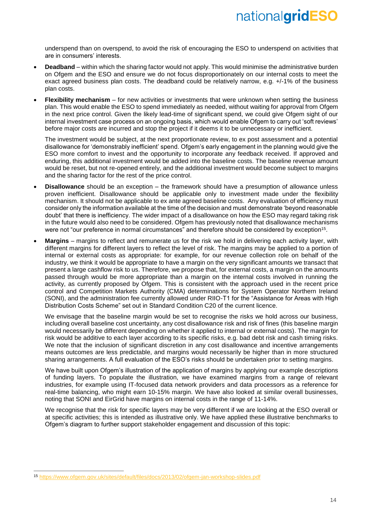underspend than on overspend, to avoid the risk of encouraging the ESO to underspend on activities that are in consumers' interests.

- **Deadband** within which the sharing factor would not apply. This would minimise the administrative burden on Ofgem and the ESO and ensure we do not focus disproportionately on our internal costs to meet the exact agreed business plan costs. The deadband could be relatively narrow, e.g. +/-1% of the business plan costs.
- **Flexibility mechanism** for new activities or investments that were unknown when setting the business plan. This would enable the ESO to spend immediately as needed, without waiting for approval from Ofgem in the next price control. Given the likely lead-time of significant spend, we could give Ofgem sight of our internal investment case process on an ongoing basis, which would enable Ofgem to carry out 'soft reviews' before major costs are incurred and stop the project if it deems it to be unnecessary or inefficient.

The investment would be subject, at the next proportionate review, to ex post assessment and a potential disallowance for 'demonstrably inefficient' spend. Ofgem's early engagement in the planning would give the ESO more comfort to invest and the opportunity to incorporate any feedback received. If approved and enduring, this additional investment would be added into the baseline costs. The baseline revenue amount would be reset, but not re-opened entirely, and the additional investment would become subject to margins and the sharing factor for the rest of the price control.

- **Disallowance** should be an exception the framework should have a presumption of allowance unless proven inefficient. Disallowance should be applicable only to investment made under the flexibility mechanism. It should not be applicable to ex ante agreed baseline costs. Any evaluation of efficiency must consider only the information available at the time of the decision and must demonstrate 'beyond reasonable doubt' that there is inefficiency. The wider impact of a disallowance on how the ESO may regard taking risk in the future would also need to be considered. Ofgem has previously noted that disallowance mechanisms were not "our preference in normal circumstances" and therefore should be considered by exception<sup>15</sup>.
- **Margins** margins to reflect and remunerate us for the risk we hold in delivering each activity layer, with different margins for different layers to reflect the level of risk. The margins may be applied to a portion of internal or external costs as appropriate: for example, for our revenue collection role on behalf of the industry, we think it would be appropriate to have a margin on the very significant amounts we transact that present a large cashflow risk to us. Therefore, we propose that, for external costs, a margin on the amounts passed through would be more appropriate than a margin on the internal costs involved in running the activity, as currently proposed by Ofgem. This is consistent with the approach used in the recent price control and Competition Markets Authority (CMA) determinations for System Operator Northern Ireland (SONI), and the administration fee currently allowed under RIIO-T1 for the "Assistance for Areas with High Distribution Costs Scheme" set out in Standard Condition C20 of the current licence.

We envisage that the baseline margin would be set to recognise the risks we hold across our business, including overall baseline cost uncertainty, any cost disallowance risk and risk of fines (this baseline margin would necessarily be different depending on whether it applied to internal or external costs). The margin for risk would be additive to each layer according to its specific risks, e.g. bad debt risk and cash timing risks. We note that the inclusion of significant discretion in any cost disallowance and incentive arrangements means outcomes are less predictable, and margins would necessarily be higher than in more structured sharing arrangements. A full evaluation of the ESO's risks should be undertaken prior to setting margins.

We have built upon Ofgem's illustration of the application of margins by applying our example descriptions of funding layers. To populate the illustration, we have examined margins from a range of relevant industries, for example using IT-focused data network providers and data processors as a reference for real-time balancing, who might earn 10-15% margin. We have also looked at similar overall businesses, noting that SONI and EirGrid have margins on internal costs in the range of 11-14%.

We recognise that the risk for specific layers may be very different if we are looking at the ESO overall or at specific activities; this is intended as illustrative only. We have applied these illustrative benchmarks to Ofgem's diagram to further support stakeholder engagement and discussion of this topic:

 $\overline{a}$ 

<sup>15</sup> <https://www.ofgem.gov.uk/sites/default/files/docs/2013/02/ofgem-jan-workshop-slides.pdf>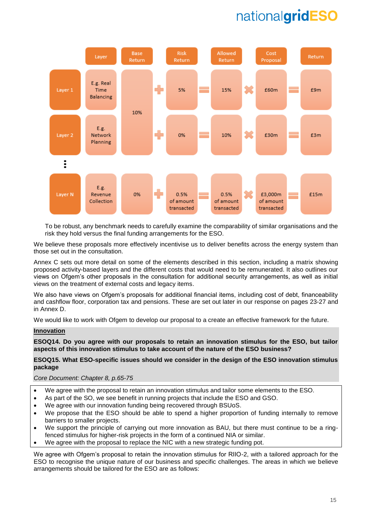

To be robust, any benchmark needs to carefully examine the comparability of similar organisations and the risk they hold versus the final funding arrangements for the ESO.

We believe these proposals more effectively incentivise us to deliver benefits across the energy system than those set out in the consultation.

Annex C sets out more detail on some of the elements described in this section, including a matrix showing proposed activity-based layers and the different costs that would need to be remunerated. It also outlines our views on Ofgem's other proposals in the consultation for additional security arrangements, as well as initial views on the treatment of external costs and legacy items.

We also have views on Ofgem's proposals for additional financial items, including cost of debt, financeability and cashflow floor, corporation tax and pensions. These are set out later in our response on pages 23-27 and in Annex D.

We would like to work with Ofgem to develop our proposal to a create an effective framework for the future.

# **Innovation**

**ESOQ14. Do you agree with our proposals to retain an innovation stimulus for the ESO, but tailor aspects of this innovation stimulus to take account of the nature of the ESO business?** 

## **ESOQ15. What ESO-specific issues should we consider in the design of the ESO innovation stimulus package**

### *Core Document: Chapter 8, p.65-75*

- We agree with the proposal to retain an innovation stimulus and tailor some elements to the ESO.
- As part of the SO, we see benefit in running projects that include the ESO and GSO.
- We agree with our innovation funding being recovered through BSUoS.
- We propose that the ESO should be able to spend a higher proportion of funding internally to remove barriers to smaller projects.
- We support the principle of carrying out more innovation as BAU, but there must continue to be a ringfenced stimulus for higher-risk projects in the form of a continued NIA or similar.
- We agree with the proposal to replace the NIC with a new strategic funding pot.

We agree with Ofgem's proposal to retain the innovation stimulus for RIIO-2, with a tailored approach for the ESO to recognise the unique nature of our business and specific challenges. The areas in which we believe arrangements should be tailored for the ESO are as follows: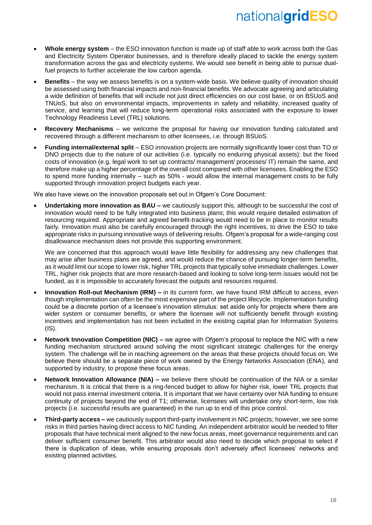- **Whole energy system** the ESO innovation function is made up of staff able to work across both the Gas and Electricity System Operator businesses, and is therefore ideally placed to tackle the energy system transformation across the gas and electricity systems. We would see benefit in being able to pursue dualfuel projects to further accelerate the low carbon agenda.
- **Benefits** the way we assess benefits is on a system-wide basis. We believe quality of innovation should be assessed using both financial impacts and non-financial benefits. We advocate agreeing and articulating a wide definition of benefits that will include not just direct efficiencies on our cost base, or on BSUoS and TNUoS, but also on environmental impacts, improvements in safety and reliability, increased quality of service, and learning that will reduce long-term operational risks associated with the exposure to lower Technology Readiness Level (TRL) solutions.
- **Recovery Mechanisms**  we welcome the proposal for having our innovation funding calculated and recovered through a different mechanism to other licensees, i.e. through BSUoS.
- **Funding internal/external split** ESO innovation projects are normally significantly lower cost than TO or DNO projects due to the nature of our activities (i.e. typically no enduring physical assets); but the fixed costs of innovation (e.g. legal work to set up contracts/ management/ processes/ IT) remain the same, and therefore make up a higher percentage of the overall cost compared with other licensees. Enabling the ESO to spend more funding internally – such as 50% - would allow the internal management costs to be fully supported through innovation project budgets each year.

We also have views on the innovation proposals set out in Ofgem's Core Document:

• **Undertaking more innovation as BAU –** we cautiously support this, although to be successful the cost of innovation would need to be fully integrated into business plans; this would require detailed estimation of resourcing required. Appropriate and agreed benefit-tracking would need to be in place to monitor results fairly. Innovation must also be carefully encouraged through the right incentives, to drive the ESO to take appropriate risks in pursuing innovative ways of delivering results. Ofgem's proposal for a wide-ranging cost disallowance mechanism does not provide this supporting environment.

We are concerned that this approach would leave little flexibility for addressing any new challenges that may arise after business plans are agreed, and would reduce the chance of pursuing longer-term benefits, as it would limit our scope to lower risk, higher TRL projects that typically solve immediate challenges. Lower TRL, higher risk projects that are more research-based and looking to solve long-term issues would not be funded, as it is impossible to accurately forecast the outputs and resources required.

- **Innovation Roll-out Mechanism (IRM) –** in its current form, we have found IRM difficult to access, even though implementation can often be the most expensive part of the project lifecycle. Implementation funding could be a discrete portion of a licensee's innovation stimulus: set aside only for projects where there are wider system or consumer benefits, or where the licensee will not sufficiently benefit through existing incentives and implementation has not been included in the existing capital plan for Information Systems (IS).
- **Network Innovation Competition (NIC) –** we agree with Ofgem's proposal to replace the NIC with a new funding mechanism structured around solving the most significant strategic challenges for the energy system. The challenge will be in reaching agreement on the areas that these projects should focus on. We believe there should be a separate piece of work owned by the Energy Networks Association (ENA), and supported by industry, to propose these focus areas.
- **Network Innovation Allowance (NIA) –** we believe there should be continuation of the NIA or a similar mechanism. It is critical that there is a ring-fenced budget to allow for higher risk, lower TRL projects that would not pass internal investment criteria. It is important that we have certainty over NIA funding to ensure continuity of projects beyond the end of T1; otherwise, licensees will undertake only short-term, low risk projects (i.e. successful results are guaranteed) in the run up to end of this price control.
- **Third-party access –** we cautiously support third-party involvement in NIC projects; however, we see some risks in third parties having direct access to NIC funding. An independent arbitrator would be needed to filter proposals that have technical merit aligned to the new focus areas, meet governance requirements and can deliver sufficient consumer benefit. This arbitrator would also need to decide which proposal to select if there is duplication of ideas, while ensuring proposals don't adversely affect licensees' networks and existing planned activities.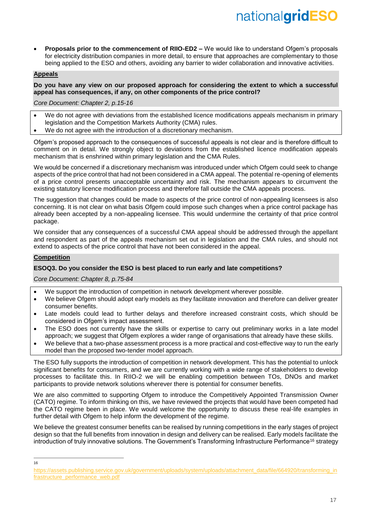• **Proposals prior to the commencement of RIIO-ED2 –** We would like to understand Ofgem's proposals for electricity distribution companies in more detail, to ensure that approaches are complementary to those being applied to the ESO and others, avoiding any barrier to wider collaboration and innovative activities.

## **Appeals**

## **Do you have any view on our proposed approach for considering the extent to which a successful appeal has consequences, if any, on other components of the price control?**

*Core Document: Chapter 2, p.15-16*

- We do not agree with deviations from the established licence modifications appeals mechanism in primary legislation and the Competition Markets Authority (CMA) rules.
- We do not agree with the introduction of a discretionary mechanism.

Ofgem's proposed approach to the consequences of successful appeals is not clear and is therefore difficult to comment on in detail. We strongly object to deviations from the established licence modification appeals mechanism that is enshrined within primary legislation and the CMA Rules.

We would be concerned if a discretionary mechanism was introduced under which Ofgem could seek to change aspects of the price control that had not been considered in a CMA appeal. The potential re-opening of elements of a price control presents unacceptable uncertainty and risk. The mechanism appears to circumvent the existing statutory licence modification process and therefore fall outside the CMA appeals process.

The suggestion that changes could be made to aspects of the price control of non-appealing licensees is also concerning. It is not clear on what basis Ofgem could impose such changes when a price control package has already been accepted by a non-appealing licensee. This would undermine the certainty of that price control package.

We consider that any consequences of a successful CMA appeal should be addressed through the appellant and respondent as part of the appeals mechanism set out in legislation and the CMA rules, and should not extend to aspects of the price control that have not been considered in the appeal.

# **Competition**

# **ESOQ3. Do you consider the ESO is best placed to run early and late competitions?**

*Core Document: Chapter 8, p.75-84*

- We support the introduction of competition in network development wherever possible.
- We believe Ofgem should adopt early models as they facilitate innovation and therefore can deliver greater consumer benefits.
- Late models could lead to further delays and therefore increased constraint costs, which should be considered in Ofgem's impact assessment.
- The ESO does not currently have the skills or expertise to carry out preliminary works in a late model approach; we suggest that Ofgem explores a wider range of organisations that already have these skills.
- We believe that a two-phase assessment process is a more practical and cost-effective way to run the early model than the proposed two-tender model approach.

The ESO fully supports the introduction of competition in network development. This has the potential to unlock significant benefits for consumers, and we are currently working with a wide range of stakeholders to develop processes to facilitate this. In RIIO-2 we will be enabling competition between TOs, DNOs and market participants to provide network solutions wherever there is potential for consumer benefits.

We are also committed to supporting Ofgem to introduce the Competitively Appointed Transmission Owner (CATO) regime. To inform thinking on this, we have reviewed the projects that would have been competed had the CATO regime been in place. We would welcome the opportunity to discuss these real-life examples in further detail with Ofgem to help inform the development of the regime.

We believe the greatest consumer benefits can be realised by running competitions in the early stages of project design so that the full benefits from innovation in design and delivery can be realised. Early models facilitate the introduction of truly innovative solutions. The Government's Transforming Infrastructure Performance<sup>16</sup> strategy

-16

[https://assets.publishing.service.gov.uk/government/uploads/system/uploads/attachment\\_data/file/664920/transforming\\_in](https://assets.publishing.service.gov.uk/government/uploads/system/uploads/attachment_data/file/664920/transforming_infrastructure_performance_web.pdf) [frastructure\\_performance\\_web.pdf](https://assets.publishing.service.gov.uk/government/uploads/system/uploads/attachment_data/file/664920/transforming_infrastructure_performance_web.pdf)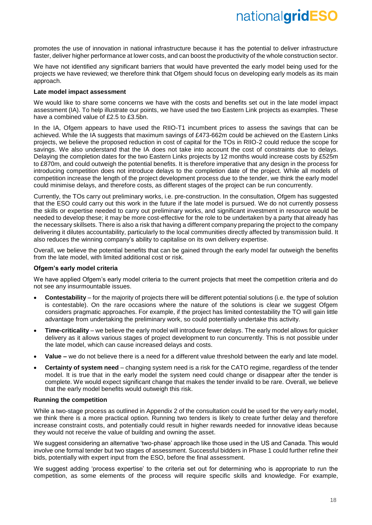promotes the use of innovation in national infrastructure because it has the potential to deliver infrastructure faster, deliver higher performance at lower costs, and can boost the productivity of the whole construction sector.

We have not identified any significant barriers that would have prevented the early model being used for the projects we have reviewed; we therefore think that Ofgem should focus on developing early models as its main approach.

## **Late model impact assessment**

We would like to share some concerns we have with the costs and benefits set out in the late model impact assessment (IA). To help illustrate our points, we have used the two Eastern Link projects as examples. These have a combined value of £2.5 to £3.5bn.

In the IA. Ofgem appears to have used the RIIO-T1 incumbent prices to assess the savings that can be achieved. While the IA suggests that maximum savings of £473-662m could be achieved on the Eastern Links projects, we believe the proposed reduction in cost of capital for the TOs in RIIO-2 could reduce the scope for savings. We also understand that the IA does not take into account the cost of constraints due to delays. Delaying the completion dates for the two Eastern Links projects by 12 months would increase costs by £525m to £870m, and could outweigh the potential benefits. It is therefore imperative that any design in the process for introducing competition does not introduce delays to the completion date of the project. While all models of competition increase the length of the project development process due to the tender, we think the early model could minimise delays, and therefore costs, as different stages of the project can be run concurrently.

Currently, the TOs carry out preliminary works, i.e. pre-construction. In the consultation, Ofgem has suggested that the ESO could carry out this work in the future if the late model is pursued. We do not currently possess the skills or expertise needed to carry out preliminary works, and significant investment in resource would be needed to develop these; it may be more cost-effective for the role to be undertaken by a party that already has the necessary skillsets. There is also a risk that having a different company preparing the project to the company delivering it dilutes accountability, particularly to the local communities directly affected by transmission build. It also reduces the winning company's ability to capitalise on its own delivery expertise.

Overall, we believe the potential benefits that can be gained through the early model far outweigh the benefits from the late model, with limited additional cost or risk.

#### **Ofgem's early model criteria**

We have applied Ofgem's early model criteria to the current projects that meet the competition criteria and do not see any insurmountable issues.

- **Contestability** for the majority of projects there will be different potential solutions (i.e. the type of solution is contestable). On the rare occasions where the nature of the solutions is clear we suggest Ofgem considers pragmatic approaches. For example, if the project has limited contestability the TO will gain little advantage from undertaking the preliminary work, so could potentially undertake this activity.
- **Time-criticality** we believe the early model will introduce fewer delays. The early model allows for quicker delivery as it allows various stages of project development to run concurrently. This is not possible under the late model, which can cause increased delays and costs.
- **Value –** we do not believe there is a need for a different value threshold between the early and late model.
- **Certainty of system need** changing system need is a risk for the CATO regime, regardless of the tender model. It is true that in the early model the system need could change or disappear after the tender is complete. We would expect significant change that makes the tender invalid to be rare. Overall, we believe that the early model benefits would outweigh this risk.

#### **Running the competition**

While a two-stage process as outlined in Appendix 2 of the consultation could be used for the very early model, we think there is a more practical option. Running two tenders is likely to create further delay and therefore increase constraint costs, and potentially could result in higher rewards needed for innovative ideas because they would not receive the value of building and owning the asset.

We suggest considering an alternative 'two-phase' approach like those used in the US and Canada. This would involve one formal tender but two stages of assessment. Successful bidders in Phase 1 could further refine their bids, potentially with expert input from the ESO, before the final assessment.

We suggest adding 'process expertise' to the criteria set out for determining who is appropriate to run the competition, as some elements of the process will require specific skills and knowledge. For example,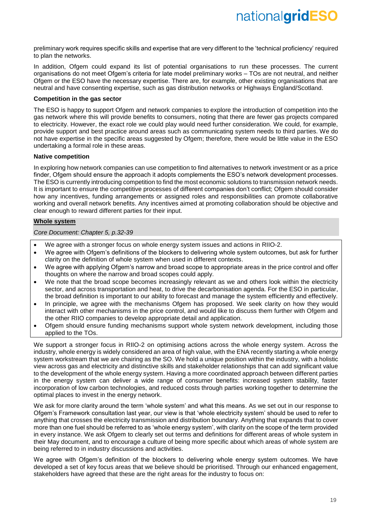preliminary work requires specific skills and expertise that are very different to the 'technical proficiency' required to plan the networks.

In addition, Ofgem could expand its list of potential organisations to run these processes. The current organisations do not meet Ofgem's criteria for late model preliminary works – TOs are not neutral, and neither Ofgem or the ESO have the necessary expertise. There are, for example, other existing organisations that are neutral and have consenting expertise, such as gas distribution networks or Highways England/Scotland.

### **Competition in the gas sector**

The ESO is happy to support Ofgem and network companies to explore the introduction of competition into the gas network where this will provide benefits to consumers, noting that there are fewer gas projects compared to electricity. However, the exact role we could play would need further consideration. We could, for example, provide support and best practice around areas such as communicating system needs to third parties. We do not have expertise in the specific areas suggested by Ofgem; therefore, there would be little value in the ESO undertaking a formal role in these areas.

## **Native competition**

In exploring how network companies can use competition to find alternatives to network investment or as a price finder. Ofgem should ensure the approach it adopts complements the ESO's network development processes. The ESO is currently introducing competition to find the most economic solutions to transmission network needs. It is important to ensure the competitive processes of different companies don't conflict; Ofgem should consider how any incentives, funding arrangements or assigned roles and responsibilities can promote collaborative working and overall network benefits. Any incentives aimed at promoting collaboration should be objective and clear enough to reward different parties for their input.

# **Whole system**

*Core Document: Chapter 5, p.32-39*

- We agree with a stronger focus on whole energy system issues and actions in RIIO-2.
- We agree with Ofgem's definitions of the blockers to delivering whole system outcomes, but ask for further clarity on the definition of whole system when used in different contexts.
- We agree with applying Ofgem's narrow and broad scope to appropriate areas in the price control and offer thoughts on where the narrow and broad scopes could apply.
- We note that the broad scope becomes increasingly relevant as we and others look within the electricity sector, and across transportation and heat, to drive the decarbonisation agenda. For the ESO in particular, the broad definition is important to our ability to forecast and manage the system efficiently and effectively.
- In principle, we agree with the mechanisms Ofgem has proposed. We seek clarity on how they would interact with other mechanisms in the price control, and would like to discuss them further with Ofgem and the other RIIO companies to develop appropriate detail and application.
- Ofgem should ensure funding mechanisms support whole system network development, including those applied to the TOs.

We support a stronger focus in RIIO-2 on optimising actions across the whole energy system. Across the industry, whole energy is widely considered an area of high value, with the ENA recently starting a whole energy system workstream that we are chairing as the SO. We hold a unique position within the industry, with a holistic view across gas and electricity and distinctive skills and stakeholder relationships that can add significant value to the development of the whole energy system. Having a more coordinated approach between different parties in the energy system can deliver a wide range of consumer benefits: increased system stability, faster incorporation of low carbon technologies, and reduced costs through parties working together to determine the optimal places to invest in the energy network.

We ask for more clarity around the term 'whole system' and what this means. As we set out in our response to Ofgem's Framework consultation last year, our view is that 'whole electricity system' should be used to refer to anything that crosses the electricity transmission and distribution boundary. Anything that expands that to cover more than one fuel should be referred to as 'whole energy system', with clarity on the scope of the term provided in every instance. We ask Ofgem to clearly set out terms and definitions for different areas of whole system in their May document, and to encourage a culture of being more specific about which areas of whole system are being referred to in industry discussions and activities.

We agree with Ofgem's definition of the blockers to delivering whole energy system outcomes. We have developed a set of key focus areas that we believe should be prioritised. Through our enhanced engagement, stakeholders have agreed that these are the right areas for the industry to focus on: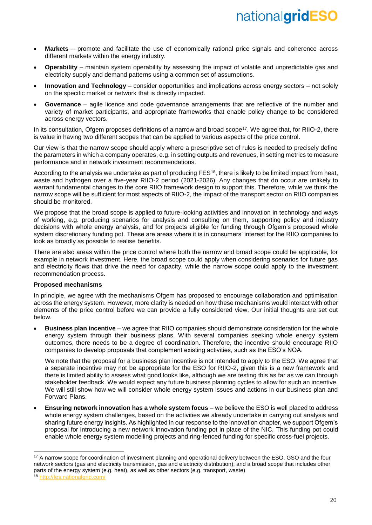- **Markets** *–* promote and facilitate the use of economically rational price signals and coherence across different markets within the energy industry.
- **Operability** *–* maintain system operability by assessing the impact of volatile and unpredictable gas and electricity supply and demand patterns using a common set of assumptions.
- **Innovation and Technology** consider opportunities and implications across energy sectors not solely on the specific market or network that is directly impacted.
- **Governance** agile licence and code governance arrangements that are reflective of the number and variety of market participants, and appropriate frameworks that enable policy change to be considered across energy vectors.

In its consultation, Ofgem proposes definitions of a narrow and broad scope<sup>17</sup>. We agree that, for RIIO-2, there is value in having two different scopes that can be applied to various aspects of the price control.

Our view is that the narrow scope should apply where a prescriptive set of rules is needed to precisely define the parameters in which a company operates, e.g. in setting outputs and revenues, in setting metrics to measure performance and in network investment recommendations.

According to the analysis we undertake as part of producing FES<sup>18</sup>, there is likely to be limited impact from heat, waste and hydrogen over a five-year RIIO-2 period (2021-2026). Any changes that do occur are unlikely to warrant fundamental changes to the core RIIO framework design to support this. Therefore, while we think the narrow scope will be sufficient for most aspects of RIIO-2, the impact of the transport sector on RIIO companies should be monitored.

We propose that the broad scope is applied to future-looking activities and innovation in technology and ways of working, e.g. producing scenarios for analysis and consulting on them, supporting policy and industry decisions with whole energy analysis, and for projects eligible for funding through Ofgem's proposed whole system discretionary funding pot. These are areas where it is in consumers' interest for the RIIO companies to look as broadly as possible to realise benefits.

There are also areas within the price control where both the narrow and broad scope could be applicable, for example in network investment. Here, the broad scope could apply when considering scenarios for future gas and electricity flows that drive the need for capacity, while the narrow scope could apply to the investment recommendation process.

# **Proposed mechanisms**

In principle, we agree with the mechanisms Ofgem has proposed to encourage collaboration and optimisation across the energy system. However, more clarity is needed on how these mechanisms would interact with other elements of the price control before we can provide a fully considered view. Our initial thoughts are set out below.

• **Business plan incentive** *–* we agree that RIIO companies should demonstrate consideration for the whole energy system through their business plans. With several companies seeking whole energy system outcomes, there needs to be a degree of coordination. Therefore, the incentive should encourage RIIO companies to develop proposals that complement existing activities, such as the ESO's NOA.

We note that the proposal for a business plan incentive is not intended to apply to the ESO. We agree that a separate incentive may not be appropriate for the ESO for RIIO-2, given this is a new framework and there is limited ability to assess what good looks like, although we are testing this as far as we can through stakeholder feedback. We would expect any future business planning cycles to allow for such an incentive. We will still show how we will consider whole energy system issues and actions in our business plan and Forward Plans.

• **Ensuring network innovation has a whole system focus** – we believe the ESO is well placed to address whole energy system challenges, based on the activities we already undertake in carrying out analysis and sharing future energy insights. As highlighted in our response to the innovation chapter, we support Ofgem's proposal for introducing a new network innovation funding pot in place of the NIC. This funding pot could enable whole energy system modelling projects and ring-fenced funding for specific cross-fuel projects.

 $\overline{a}$ 

<sup>&</sup>lt;sup>17</sup> A narrow scope for coordination of investment planning and operational delivery between the ESO, GSO and the four network sectors (gas and electricity transmission, gas and electricity distribution); and a broad scope that includes other parts of the energy system (e.g. heat), as well as other sectors (e.g. transport, waste)

<sup>18</sup> http://fes.nationalgrid.com/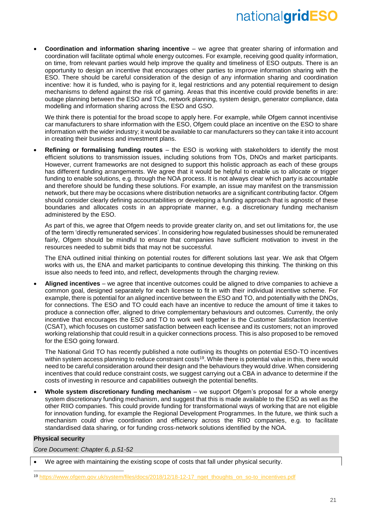• **Coordination and information sharing incentive** – we agree that greater sharing of information and coordination will facilitate optimal whole energy outcomes. For example, receiving good quality information, on time, from relevant parties would help improve the quality and timeliness of ESO outputs. There is an opportunity to design an incentive that encourages other parties to improve information sharing with the ESO. There should be careful consideration of the design of any information sharing and coordination incentive: how it is funded, who is paying for it, legal restrictions and any potential requirement to design mechanisms to defend against the risk of gaming. Areas that this incentive could provide benefits in are: outage planning between the ESO and TOs, network planning, system design, generator compliance, data modelling and information sharing across the ESO and GSO.

We think there is potential for the broad scope to apply here. For example, while Ofgem cannot incentivise car manufacturers to share information with the ESO, Ofgem could place an incentive on the ESO to share information with the wider industry; it would be available to car manufacturers so they can take it into account in creating their business and investment plans.

• **Refining or formalising funding routes** *–* the ESO is working with stakeholders to identify the most efficient solutions to transmission issues, including solutions from TOs, DNOs and market participants. However, current frameworks are not designed to support this holistic approach as each of these groups has different funding arrangements. We agree that it would be helpful to enable us to allocate or trigger funding to enable solutions, e.g. through the NOA process. It is not always clear which party is accountable and therefore should be funding these solutions. For example, an issue may manifest on the transmission network, but there may be occasions where distribution networks are a significant contributing factor. Ofgem should consider clearly defining accountabilities or developing a funding approach that is agnostic of these boundaries and allocates costs in an appropriate manner, e.g. a discretionary funding mechanism administered by the ESO.

As part of this, we agree that Ofgem needs to provide greater clarity on, and set out limitations for, the use of the term 'directly remunerated services'. In considering how regulated businesses should be remunerated fairly, Ofgem should be mindful to ensure that companies have sufficient motivation to invest in the resources needed to submit bids that may not be successful.

The ENA outlined initial thinking on potential routes for different solutions last year. We ask that Ofgem works with us, the ENA and market participants to continue developing this thinking. The thinking on this issue also needs to feed into, and reflect, developments through the charging review.

• **Aligned incentives** – we agree that incentive outcomes could be aligned to drive companies to achieve a common goal, designed separately for each licensee to fit in with their individual incentive scheme. For example, there is potential for an aligned incentive between the ESO and TO, and potentially with the DNOs, for connections. The ESO and TO could each have an incentive to reduce the amount of time it takes to produce a connection offer, aligned to drive complementary behaviours and outcomes. Currently, the only incentive that encourages the ESO and TO to work well together is the Customer Satisfaction Incentive (CSAT), which focuses on customer satisfaction between each licensee and its customers; not an improved working relationship that could result in a quicker connections process. This is also proposed to be removed for the ESO going forward.

The National Grid TO has recently published a note outlining its thoughts on potential ESO-TO incentives within system access planning to reduce constraint costs<sup>19</sup>. While there is potential value in this, there would need to be careful consideration around their design and the behaviours they would drive. When considering incentives that could reduce constraint costs, we suggest carrying out a CBA in advance to determine if the costs of investing in resource and capabilities outweigh the potential benefits.

• **Whole system discretionary funding mechanism** – we support Ofgem's proposal for a whole energy system discretionary funding mechanism, and suggest that this is made available to the ESO as well as the other RIIO companies. This could provide funding for transformational ways of working that are not eligible for innovation funding, for example the Regional Development Programmes. In the future, we think such a mechanism could drive coordination and efficiency across the RIIO companies, e.g. to facilitate standardised data sharing, or for funding cross-network solutions identified by the NOA.

# **Physical security**

 $\overline{a}$ 

*Core Document: Chapter 6, p.51-52*

<sup>•</sup> We agree with maintaining the existing scope of costs that fall under physical security.

<sup>19</sup> [https://www.ofgem.gov.uk/system/files/docs/2018/12/18-12-17\\_nget\\_thoughts\\_on\\_so-to\\_incentives.pdf](https://www.ofgem.gov.uk/system/files/docs/2018/12/18-12-17_nget_thoughts_on_so-to_incentives.pdf)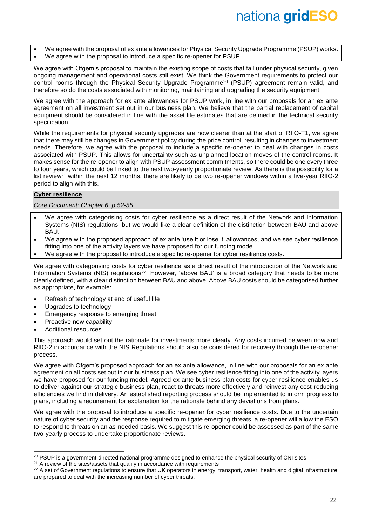- We agree with the proposal of ex ante allowances for Physical Security Upgrade Programme (PSUP) works.
- We agree with the proposal to introduce a specific re-opener for PSUP.

We agree with Ofgem's proposal to maintain the existing scope of costs that fall under physical security, given ongoing management and operational costs still exist. We think the Government requirements to protect our control rooms through the Physical Security Upgrade Programme<sup>20</sup> (PSUP) agreement remain valid, and therefore so do the costs associated with monitoring, maintaining and upgrading the security equipment.

We agree with the approach for ex ante allowances for PSUP work, in line with our proposals for an ex ante agreement on all investment set out in our business plan. We believe that the partial replacement of capital equipment should be considered in line with the asset life estimates that are defined in the technical security specification.

While the requirements for physical security upgrades are now clearer than at the start of RIIO-T1, we agree that there may still be changes in Government policy during the price control, resulting in changes to investment needs. Therefore, we agree with the proposal to include a specific re-opener to deal with changes in costs associated with PSUP. This allows for uncertainty such as unplanned location moves of the control rooms. It makes sense for the re-opener to align with PSUP assessment commitments, so there could be one every three to four years, which could be linked to the next two-yearly proportionate review. As there is the possibility for a list review<sup>21</sup> within the next 12 months, there are likely to be two re-opener windows within a five-year RIIO-2 period to align with this.

## **Cyber resilience**

*Core Document: Chapter 6, p.52-55*

- We agree with categorising costs for cyber resilience as a direct result of the Network and Information Systems (NIS) regulations, but we would like a clear definition of the distinction between BAU and above BAU.
- We agree with the proposed approach of ex ante 'use it or lose it' allowances, and we see cyber resilience fitting into one of the activity layers we have proposed for our funding model.
- We agree with the proposal to introduce a specific re-opener for cyber resilience costs.

We agree with categorising costs for cyber resilience as a direct result of the introduction of the Network and Information Systems (NIS) regulations<sup>22</sup>. However, 'above BAU' is a broad category that needs to be more clearly defined, with a clear distinction between BAU and above. Above BAU costs should be categorised further as appropriate, for example:

- Refresh of technology at end of useful life
- Upgrades to technology
- Emergency response to emerging threat
- Proactive new capability
- Additional resources

 $\overline{a}$ 

This approach would set out the rationale for investments more clearly. Any costs incurred between now and RIIO-2 in accordance with the NIS Regulations should also be considered for recovery through the re-opener process.

We agree with Ofgem's proposed approach for an ex ante allowance, in line with our proposals for an ex ante agreement on all costs set out in our business plan. We see cyber resilience fitting into one of the activity layers we have proposed for our funding model. Agreed ex ante business plan costs for cyber resilience enables us to deliver against our strategic business plan, react to threats more effectively and reinvest any cost-reducing efficiencies we find in delivery. An established reporting process should be implemented to inform progress to plans, including a requirement for explanation for the rationale behind any deviations from plans.

We agree with the proposal to introduce a specific re-opener for cyber resilience costs. Due to the uncertain nature of cyber security and the response required to mitigate emerging threats, a re-opener will allow the ESO to respond to threats on an as-needed basis. We suggest this re-opener could be assessed as part of the same two-yearly process to undertake proportionate reviews.

<sup>&</sup>lt;sup>20</sup> PSUP is a government-directed national programme designed to enhance the physical security of CNI sites

 $21$  A review of the sites/assets that qualify in accordance with requirements

<sup>&</sup>lt;sup>22</sup> A set of Government regulations to ensure that UK operators in energy, transport, water, health and digital infrastructure are prepared to deal with the increasing number of cyber threats.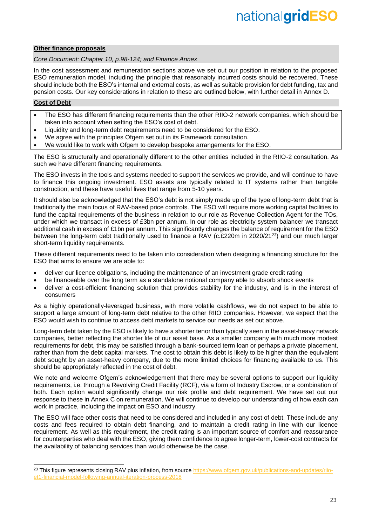## **Other finance proposals**

*Core Document: Chapter 10, p.98-124; and Finance Annex*

In the cost assessment and remuneration sections above we set out our position in relation to the proposed ESO remuneration model, including the principle that reasonably incurred costs should be recovered. These should include both the ESO's internal and external costs, as well as suitable provision for debt funding, tax and pension costs. Our key considerations in relation to these are outlined below, with further detail in Annex D.

# **Cost of Debt**

-

- The ESO has different financing requirements than the other RIIO-2 network companies, which should be taken into account when setting the ESO's cost of debt.
- Liquidity and long-term debt requirements need to be considered for the ESO.
- We agree with the principles Ofgem set out in its Framework consultation.
- We would like to work with Ofgem to develop bespoke arrangements for the ESO.

The ESO is structurally and operationally different to the other entities included in the RIIO-2 consultation. As such we have different financing requirements.

The ESO invests in the tools and systems needed to support the services we provide, and will continue to have to finance this ongoing investment. ESO assets are typically related to IT systems rather than tangible construction, and these have useful lives that range from 5-10 years.

It should also be acknowledged that the ESO's debt is not simply made up of the type of long-term debt that is traditionally the main focus of RAV-based price controls. The ESO will require more working capital facilities to fund the capital requirements of the business in relation to our role as Revenue Collection Agent for the TOs, under which we transact in excess of £3bn per annum. In our role as electricity system balancer we transact additional cash in excess of £1bn per annum. This significantly changes the balance of requirement for the ESO between the long-term debt traditionally used to finance a RAV (c.£220m in 2020/21<sup>23</sup>) and our much larger short-term liquidity requirements.

These different requirements need to be taken into consideration when designing a financing structure for the ESO that aims to ensure we are able to:

- deliver our licence obligations, including the maintenance of an investment grade credit rating
- be financeable over the long term as a standalone notional company able to absorb shock events
- deliver a cost-efficient financing solution that provides stability for the industry, and is in the interest of consumers

As a highly operationally-leveraged business, with more volatile cashflows, we do not expect to be able to support a large amount of long-term debt relative to the other RIIO companies. However, we expect that the ESO would wish to continue to access debt markets to service our needs as set out above.

Long-term debt taken by the ESO is likely to have a shorter tenor than typically seen in the asset-heavy network companies, better reflecting the shorter life of our asset base. As a smaller company with much more modest requirements for debt, this may be satisfied through a bank-sourced term loan or perhaps a private placement, rather than from the debt capital markets. The cost to obtain this debt is likely to be higher than the equivalent debt sought by an asset-heavy company, due to the more limited choices for financing available to us. This should be appropriately reflected in the cost of debt.

We note and welcome Ofgem's acknowledgement that there may be several options to support our liquidity requirements, i.e. through a Revolving Credit Facility (RCF), via a form of Industry Escrow, or a combination of both. Each option would significantly change our risk profile and debt requirement. We have set out our response to these in Annex C on remuneration. We will continue to develop our understanding of how each can work in practice, including the impact on ESO and industry.

The ESO will face other costs that need to be considered and included in any cost of debt. These include any costs and fees required to obtain debt financing, and to maintain a credit rating in line with our licence requirement. As well as this requirement, the credit rating is an important source of comfort and reassurance for counterparties who deal with the ESO, giving them confidence to agree longer-term, lower-cost contracts for the availability of balancing services than would otherwise be the case.

<sup>&</sup>lt;sup>23</sup> This figure represents closing RAV plus inflation, from source [https://www.ofgem.gov.uk/publications-and-updates/riio](https://www.ofgem.gov.uk/publications-and-updates/riio-et1-financial-model-following-annual-iteration-process-2018)[et1-financial-model-following-annual-iteration-process-2018](https://www.ofgem.gov.uk/publications-and-updates/riio-et1-financial-model-following-annual-iteration-process-2018)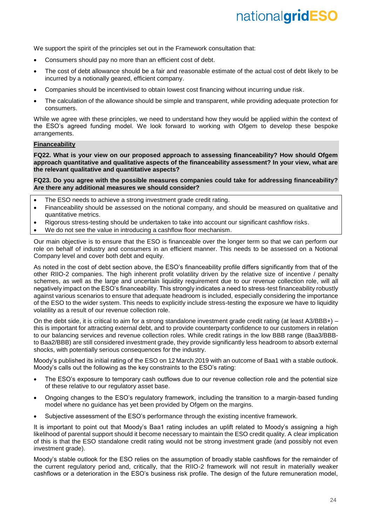We support the spirit of the principles set out in the Framework consultation that:

- Consumers should pay no more than an efficient cost of debt.
- The cost of debt allowance should be a fair and reasonable estimate of the actual cost of debt likely to be incurred by a notionally geared, efficient company.
- Companies should be incentivised to obtain lowest cost financing without incurring undue risk.
- The calculation of the allowance should be simple and transparent, while providing adequate protection for consumers.

While we agree with these principles, we need to understand how they would be applied within the context of the ESO's agreed funding model. We look forward to working with Ofgem to develop these bespoke arrangements.

## **Financeability**

**FQ22. What is your view on our proposed approach to assessing financeability? How should Ofgem approach quantitative and qualitative aspects of the financeability assessment? In your view, what are the relevant qualitative and quantitative aspects?**

**FQ23. Do you agree with the possible measures companies could take for addressing financeability? Are there any additional measures we should consider?**

- The ESO needs to achieve a strong investment grade credit rating.
- Financeability should be assessed on the notional company, and should be measured on qualitative and quantitative metrics.
- Rigorous stress-testing should be undertaken to take into account our significant cashflow risks.
- We do not see the value in introducing a cashflow floor mechanism.

Our main objective is to ensure that the ESO is financeable over the longer term so that we can perform our role on behalf of industry and consumers in an efficient manner. This needs to be assessed on a Notional Company level and cover both debt and equity.

As noted in the cost of debt section above, the ESO's financeability profile differs significantly from that of the other RIIO-2 companies. The high inherent profit volatility driven by the relative size of incentive / penalty schemes, as well as the large and uncertain liquidity requirement due to our revenue collection role, will all negatively impact on the ESO's financeability. This strongly indicates a need to stress-test financeability robustly against various scenarios to ensure that adequate headroom is included, especially considering the importance of the ESO to the wider system. This needs to explicitly include stress-testing the exposure we have to liquidity volatility as a result of our revenue collection role.

On the debt side, it is critical to aim for a strong standalone investment grade credit rating (at least A3/BBB+) – this is important for attracting external debt, and to provide counterparty confidence to our customers in relation to our balancing services and revenue collection roles. While credit ratings in the low BBB range (Baa3/BBBto Baa2/BBB) are still considered investment grade, they provide significantly less headroom to absorb external shocks, with potentially serious consequences for the industry.

Moody's published its initial rating of the ESO on 12 March 2019 with an outcome of Baa1 with a stable outlook. Moody's calls out the following as the key constraints to the ESO's rating:

- The ESO's exposure to temporary cash outflows due to our revenue collection role and the potential size of these relative to our regulatory asset base.
- Ongoing changes to the ESO's regulatory framework, including the transition to a margin-based funding model where no guidance has yet been provided by Ofgem on the margins.
- Subjective assessment of the ESO's performance through the existing incentive framework.

It is important to point out that Moody's Baa1 rating includes an uplift related to Moody's assigning a high likelihood of parental support should it become necessary to maintain the ESO credit quality. A clear implication of this is that the ESO standalone credit rating would not be strong investment grade (and possibly not even investment grade).

Moody's stable outlook for the ESO relies on the assumption of broadly stable cashflows for the remainder of the current regulatory period and, critically, that the RIIO-2 framework will not result in materially weaker cashflows or a deterioration in the ESO's business risk profile. The design of the future remuneration model,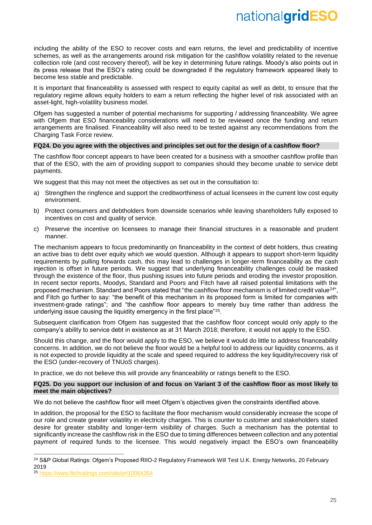including the ability of the ESO to recover costs and earn returns, the level and predictability of incentive schemes, as well as the arrangements around risk mitigation for the cashflow volatility related to the revenue collection role (and cost recovery thereof), will be key in determining future ratings. Moody's also points out in its press release that the ESO's rating could be downgraded if the regulatory framework appeared likely to become less stable and predictable.

It is important that financeability is assessed with respect to equity capital as well as debt, to ensure that the regulatory regime allows equity holders to earn a return reflecting the higher level of risk associated with an asset-light, high-volatility business model.

Ofgem has suggested a number of potential mechanisms for supporting / addressing financeability. We agree with Ofgem that ESO financeability considerations will need to be reviewed once the funding and return arrangements are finalised. Financeability will also need to be tested against any recommendations from the Charging Task Force review.

#### **FQ24. Do you agree with the objectives and principles set out for the design of a cashflow floor?**

The cashflow floor concept appears to have been created for a business with a smoother cashflow profile than that of the ESO, with the aim of providing support to companies should they become unable to service debt payments.

We suggest that this may not meet the objectives as set out in the consultation to:

- a) Strengthen the ringfence and support the creditworthiness of actual licensees in the current low cost equity environment.
- b) Protect consumers and debtholders from downside scenarios while leaving shareholders fully exposed to incentives on cost and quality of service.
- c) Preserve the incentive on licensees to manage their financial structures in a reasonable and prudent manner.

The mechanism appears to focus predominantly on financeability in the context of debt holders, thus creating an active bias to debt over equity which we would question. Although it appears to support short-term liquidity requirements by pulling forwards cash, this may lead to challenges in longer-term financeability as the cash injection is offset in future periods. We suggest that underlying financeability challenges could be masked through the existence of the floor, thus pushing issues into future periods and eroding the investor proposition. In recent sector reports, Moodys, Standard and Poors and Fitch have all raised potential limitations with the proposed mechanism. Standard and Poors stated that "the cashflow floor mechanism is of limited credit value<sup>24"</sup>, and Fitch go further to say: "the benefit of this mechanism in its proposed form is limited for companies with investment-grade ratings"; and "the cashflow floor appears to merely buy time rather than address the underlying issue causing the liquidity emergency in the first place"<sup>25</sup>.

Subsequent clarification from Ofgem has suggested that the cashflow floor concept would only apply to the company's ability to service debt in existence as at 31 March 2018; therefore, it would not apply to the ESO.

Should this change, and the floor would apply to the ESO, we believe it would do little to address financeability concerns. In addition, we do not believe the floor would be a helpful tool to address our liquidity concerns, as it is not expected to provide liquidity at the scale and speed required to address the key liquidity/recovery risk of the ESO (under-recovery of TNUoS charges).

In practice, we do not believe this will provide any financeability or ratings benefit to the ESO.

## **FQ25. Do you support our inclusion of and focus on Variant 3 of the cashflow floor as most likely to meet the main objectives?**

We do not believe the cashflow floor will meet Ofgem's objectives given the constraints identified above.

In addition, the proposal for the ESO to facilitate the floor mechanism would considerably increase the scope of our role and create greater volatility in electricity charges. This is counter to customer and stakeholders stated desire for greater stability and longer-term visibility of charges. Such a mechanism has the potential to significantly increase the cashflow risk in the ESO due to timing differences between collection and any potential payment of required funds to the licensee. This would negatively impact the ESO's own financeability

-

<sup>&</sup>lt;sup>24</sup> S&P Global Ratings: Ofgem's Proposed RIIO-2 Regulatory Framework Will Test U.K. Energy Networks, 20 February 2019

<sup>25</sup> <https://www.fitchratings.com/site/pr/10064354>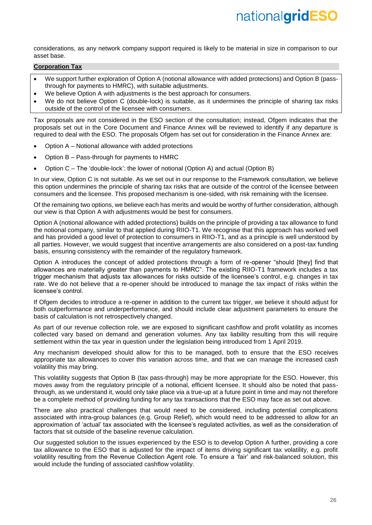considerations, as any network company support required is likely to be material in size in comparison to our asset base.

## **Corporation Tax**

- We support further exploration of Option A (notional allowance with added protections) and Option B (passthrough for payments to HMRC), with suitable adjustments.
- We believe Option A with adjustments is the best approach for consumers.
- We do not believe Option C (double-lock) is suitable, as it undermines the principle of sharing tax risks outside of the control of the licensee with consumers.

Tax proposals are not considered in the ESO section of the consultation; instead, Ofgem indicates that the proposals set out in the Core Document and Finance Annex will be reviewed to identify if any departure is required to deal with the ESO. The proposals Ofgem has set out for consideration in the Finance Annex are:

- Option A Notional allowance with added protections
- Option B Pass-through for payments to HMRC
- Option C The 'double-lock': the lower of notional (Option A) and actual (Option B)

In our view, Option C is not suitable. As we set out in our response to the Framework consultation, we believe this option undermines the principle of sharing tax risks that are outside of the control of the licensee between consumers and the licensee. This proposed mechanism is one-sided, with risk remaining with the licensee.

Of the remaining two options, we believe each has merits and would be worthy of further consideration, although our view is that Option A with adjustments would be best for consumers.

Option A (notional allowance with added protections) builds on the principle of providing a tax allowance to fund the notional company, similar to that applied during RIIO-T1. We recognise that this approach has worked well and has provided a good level of protection to consumers in RIIO-T1, and as a principle is well understood by all parties. However, we would suggest that incentive arrangements are also considered on a post-tax funding basis, ensuring consistency with the remainder of the regulatory framework.

Option A introduces the concept of added protections through a form of re-opener "should [they] find that allowances are materially greater than payments to HMRC". The existing RIIO-T1 framework includes a tax trigger mechanism that adjusts tax allowances for risks outside of the licensee's control, e.g. changes in tax rate. We do not believe that a re-opener should be introduced to manage the tax impact of risks within the licensee's control.

If Ofgem decides to introduce a re-opener in addition to the current tax trigger, we believe it should adjust for both outperformance and underperformance, and should include clear adjustment parameters to ensure the basis of calculation is not retrospectively changed.

As part of our revenue collection role, we are exposed to significant cashflow and profit volatility as incomes collected vary based on demand and generation volumes. Any tax liability resulting from this will require settlement within the tax year in question under the legislation being introduced from 1 April 2019.

Any mechanism developed should allow for this to be managed, both to ensure that the ESO receives appropriate tax allowances to cover this variation across time, and that we can manage the increased cash volatility this may bring.

This volatility suggests that Option B (tax pass-through) may be more appropriate for the ESO. However, this moves away from the regulatory principle of a notional, efficient licensee. It should also be noted that passthrough, as we understand it, would only take place via a true-up at a future point in time and may not therefore be a complete method of providing funding for any tax transactions that the ESO may face as set out above.

There are also practical challenges that would need to be considered, including potential complications associated with intra-group balances (e.g. Group Relief), which would need to be addressed to allow for an approximation of 'actual' tax associated with the licensee's regulated activities, as well as the consideration of factors that sit outside of the baseline revenue calculation.

Our suggested solution to the issues experienced by the ESO is to develop Option A further, providing a core tax allowance to the ESO that is adjusted for the impact of items driving significant tax volatility, e.g. profit volatility resulting from the Revenue Collection Agent role. To ensure a 'fair' and risk-balanced solution, this would include the funding of associated cashflow volatility.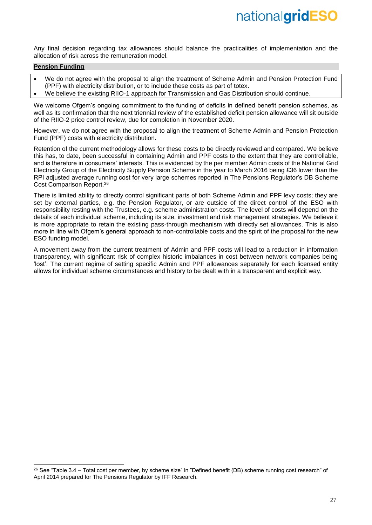Any final decision regarding tax allowances should balance the practicalities of implementation and the allocation of risk across the remuneration model.

## **Pension Funding**

-

- We do not agree with the proposal to align the treatment of Scheme Admin and Pension Protection Fund (PPF) with electricity distribution, or to include these costs as part of totex.
- We believe the existing RIIO-1 approach for Transmission and Gas Distribution should continue.

We welcome Ofgem's ongoing commitment to the funding of deficits in defined benefit pension schemes, as well as its confirmation that the next triennial review of the established deficit pension allowance will sit outside of the RIIO-2 price control review, due for completion in November 2020.

However, we do not agree with the proposal to align the treatment of Scheme Admin and Pension Protection Fund (PPF) costs with electricity distribution.

Retention of the current methodology allows for these costs to be directly reviewed and compared. We believe this has, to date, been successful in containing Admin and PPF costs to the extent that they are controllable, and is therefore in consumers' interests. This is evidenced by the per member Admin costs of the National Grid Electricity Group of the Electricity Supply Pension Scheme in the year to March 2016 being £36 lower than the RPI adjusted average running cost for very large schemes reported in The Pensions Regulator's DB Scheme Cost Comparison Report.<sup>26</sup>

There is limited ability to directly control significant parts of both Scheme Admin and PPF levy costs; they are set by external parties, e.g. the Pension Regulator, or are outside of the direct control of the ESO with responsibility resting with the Trustees, e.g. scheme administration costs. The level of costs will depend on the details of each individual scheme, including its size, investment and risk management strategies. We believe it is more appropriate to retain the existing pass-through mechanism with directly set allowances. This is also more in line with Ofgem's general approach to non-controllable costs and the spirit of the proposal for the new ESO funding model.

A movement away from the current treatment of Admin and PPF costs will lead to a reduction in information transparency, with significant risk of complex historic imbalances in cost between network companies being 'lost'. The current regime of setting specific Admin and PPF allowances separately for each licensed entity allows for individual scheme circumstances and history to be dealt with in a transparent and explicit way.

<sup>&</sup>lt;sup>26</sup> See "Table 3.4 – Total cost per member, by scheme size" in "Defined benefit (DB) scheme running cost research" of April 2014 prepared for The Pensions Regulator by IFF Research.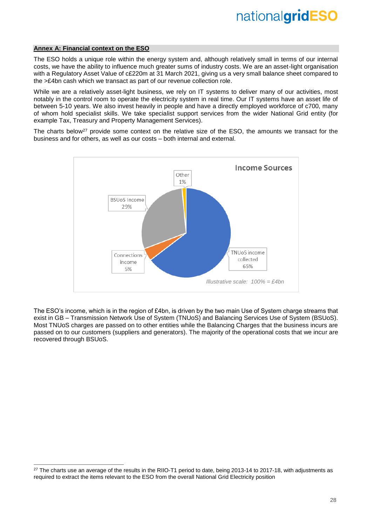#### **Annex A: Financial context on the ESO**

-

The ESO holds a unique role within the energy system and, although relatively small in terms of our internal costs, we have the ability to influence much greater sums of industry costs. We are an asset-light organisation with a Regulatory Asset Value of c£220m at 31 March 2021, giving us a very small balance sheet compared to the >£4bn cash which we transact as part of our revenue collection role.

While we are a relatively asset-light business, we rely on IT systems to deliver many of our activities, most notably in the control room to operate the electricity system in real time. Our IT systems have an asset life of between 5-10 years. We also invest heavily in people and have a directly employed workforce of c700, many of whom hold specialist skills. We take specialist support services from the wider National Grid entity (for example Tax, Treasury and Property Management Services).

The charts below<sup>27</sup> provide some context on the relative size of the ESO, the amounts we transact for the business and for others, as well as our costs – both internal and external.



The ESO's income, which is in the region of £4bn, is driven by the two main Use of System charge streams that exist in GB – Transmission Network Use of System (TNUoS) and Balancing Services Use of System (BSUoS). Most TNUoS charges are passed on to other entities while the Balancing Charges that the business incurs are passed on to our customers (suppliers and generators). The majority of the operational costs that we incur are recovered through BSUoS.

 $27$  The charts use an average of the results in the RIIO-T1 period to date, being 2013-14 to 2017-18, with adjustments as required to extract the items relevant to the ESO from the overall National Grid Electricity position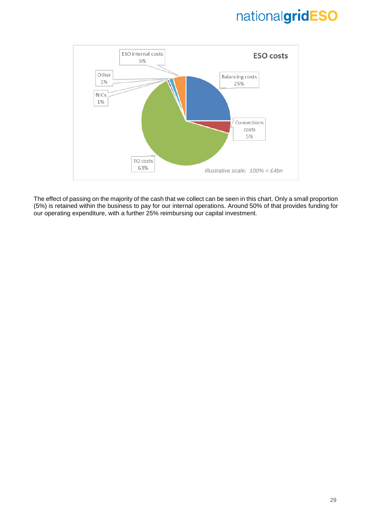

The effect of passing on the majority of the cash that we collect can be seen in this chart. Only a small proportion (5%) is retained within the business to pay for our internal operations. Around 50% of that provides funding for our operating expenditure, with a further 25% reimbursing our capital investment.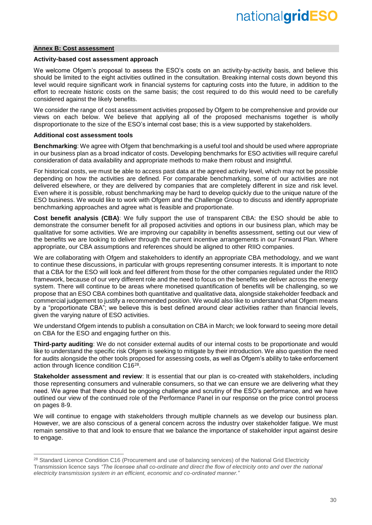#### **Annex B: Cost assessment**

#### **Activity-based cost assessment approach**

We welcome Ofgem's proposal to assess the ESO's costs on an activity-by-activity basis, and believe this should be limited to the eight activities outlined in the consultation. Breaking internal costs down beyond this level would require significant work in financial systems for capturing costs into the future, in addition to the effort to recreate historic costs on the same basis; the cost required to do this would need to be carefully considered against the likely benefits.

We consider the range of cost assessment activities proposed by Ofgem to be comprehensive and provide our views on each below. We believe that applying all of the proposed mechanisms together is wholly disproportionate to the size of the ESO's internal cost base; this is a view supported by stakeholders.

#### **Additional cost assessment tools**

-

**Benchmarking**: We agree with Ofgem that benchmarking is a useful tool and should be used where appropriate in our business plan as a broad indicator of costs. Developing benchmarks for ESO activities will require careful consideration of data availability and appropriate methods to make them robust and insightful.

For historical costs, we must be able to access past data at the agreed activity level, which may not be possible depending on how the activities are defined. For comparable benchmarking, some of our activities are not delivered elsewhere, or they are delivered by companies that are completely different in size and risk level. Even where it is possible, robust benchmarking may be hard to develop quickly due to the unique nature of the ESO business. We would like to work with Ofgem and the Challenge Group to discuss and identify appropriate benchmarking approaches and agree what is feasible and proportionate.

**Cost benefit analysis (CBA)**: We fully support the use of transparent CBA: the ESO should be able to demonstrate the consumer benefit for all proposed activities and options in our business plan, which may be qualitative for some activities. We are improving our capability in benefits assessment, setting out our view of the benefits we are looking to deliver through the current incentive arrangements in our Forward Plan. Where appropriate, our CBA assumptions and references should be aligned to other RIIO companies.

We are collaborating with Ofgem and stakeholders to identify an appropriate CBA methodology, and we want to continue these discussions, in particular with groups representing consumer interests. It is important to note that a CBA for the ESO will look and feel different from those for the other companies regulated under the RIIO framework, because of our very different role and the need to focus on the benefits we deliver across the energy system. There will continue to be areas where monetised quantification of benefits will be challenging, so we propose that an ESO CBA combines both quantitative and qualitative data, alongside stakeholder feedback and commercial judgement to justify a recommended position. We would also like to understand what Ofgem means by a "proportionate CBA"; we believe this is best defined around clear activities rather than financial levels, given the varying nature of ESO activities.

We understand Ofgem intends to publish a consultation on CBA in March; we look forward to seeing more detail on CBA for the ESO and engaging further on this.

**Third-party auditing**: We do not consider external audits of our internal costs to be proportionate and would like to understand the specific risk Ofgem is seeking to mitigate by their introduction. We also question the need for audits alongside the other tools proposed for assessing costs, as well as Ofgem's ability to take enforcement action through licence condition C16<sup>28</sup>.

**Stakeholder assessment and review**: It is essential that our plan is co-created with stakeholders, including those representing consumers and vulnerable consumers, so that we can ensure we are delivering what they need. We agree that there should be ongoing challenge and scrutiny of the ESO's performance, and we have outlined our view of the continued role of the Performance Panel in our response on the price control process on pages 8-9.

We will continue to engage with stakeholders through multiple channels as we develop our business plan. However, we are also conscious of a general concern across the industry over stakeholder fatigue. We must remain sensitive to that and look to ensure that we balance the importance of stakeholder input against desire to engage.

<sup>&</sup>lt;sup>28</sup> Standard Licence Condition C16 (Procurement and use of balancing services) of the National Grid Electricity Transmission licence says *"The licensee shall co-ordinate and direct the flow of electricity onto and over the national electricity transmission system in an efficient, economic and co-ordinated manner."*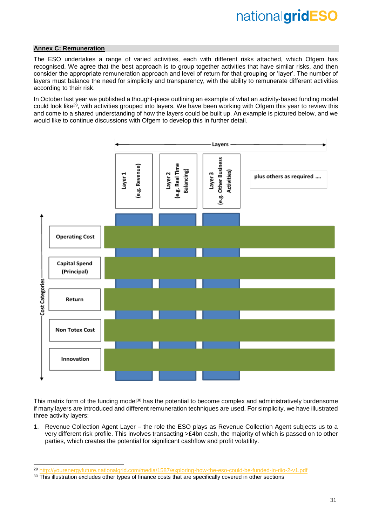# **Annex C: Remuneration**

-

The ESO undertakes a range of varied activities, each with different risks attached, which Ofgem has recognised. We agree that the best approach is to group together activities that have similar risks, and then consider the appropriate remuneration approach and level of return for that grouping or 'layer'. The number of layers must balance the need for simplicity and transparency, with the ability to remunerate different activities according to their risk.

In October last year we published a thought-piece outlining an example of what an activity-based funding model could look like<sup>29</sup>, with activities grouped into layers. We have been working with Ofgem this year to review this and come to a shared understanding of how the layers could be built up. An example is pictured below, and we would like to continue discussions with Ofgem to develop this in further detail.



This matrix form of the funding model<sup>30</sup> has the potential to become complex and administratively burdensome if many layers are introduced and different remuneration techniques are used. For simplicity, we have illustrated three activity layers:

1. Revenue Collection Agent Layer – the role the ESO plays as Revenue Collection Agent subjects us to a very different risk profile. This involves transacting >£4bn cash, the majority of which is passed on to other parties, which creates the potential for significant cashflow and profit volatility.

<sup>29</sup> <http://yourenergyfuture.nationalgrid.com/media/1587/exploring-how-the-eso-could-be-funded-in-riio-2-v1.pdf>

<sup>&</sup>lt;sup>30</sup> This illustration excludes other types of finance costs that are specifically covered in other sections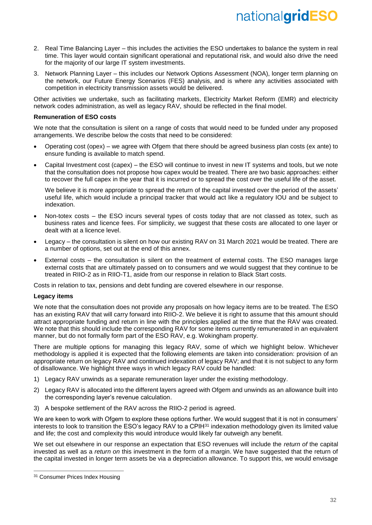- 2. Real Time Balancing Layer this includes the activities the ESO undertakes to balance the system in real time. This layer would contain significant operational and reputational risk, and would also drive the need for the majority of our large IT system investments.
- 3. Network Planning Layer this includes our Network Options Assessment (NOA), longer term planning on the network, our Future Energy Scenarios (FES) analysis, and is where any activities associated with competition in electricity transmission assets would be delivered.

Other activities we undertake, such as facilitating markets, Electricity Market Reform (EMR) and electricity network codes administration, as well as legacy RAV, should be reflected in the final model.

## **Remuneration of ESO costs**

We note that the consultation is silent on a range of costs that would need to be funded under any proposed arrangements. We describe below the costs that need to be considered:

- Operating cost (opex) we agree with Ofgem that there should be agreed business plan costs (ex ante) to ensure funding is available to match spend.
- Capital Investment cost (capex) the ESO will continue to invest in new IT systems and tools, but we note that the consultation does not propose how capex would be treated. There are two basic approaches: either to recover the full capex in the year that it is incurred or to spread the cost over the useful life of the asset.

We believe it is more appropriate to spread the return of the capital invested over the period of the assets' useful life, which would include a principal tracker that would act like a regulatory IOU and be subject to indexation.

- Non-totex costs the ESO incurs several types of costs today that are not classed as totex, such as business rates and licence fees. For simplicity, we suggest that these costs are allocated to one layer or dealt with at a licence level.
- Legacy the consultation is silent on how our existing RAV on 31 March 2021 would be treated. There are a number of options, set out at the end of this annex.
- External costs the consultation is silent on the treatment of external costs. The ESO manages large external costs that are ultimately passed on to consumers and we would suggest that they continue to be treated in RIIO-2 as in RIIO-T1, aside from our response in relation to Black Start costs.

Costs in relation to tax, pensions and debt funding are covered elsewhere in our response.

#### **Legacy items**

We note that the consultation does not provide any proposals on how legacy items are to be treated. The ESO has an existing RAV that will carry forward into RIIO-2. We believe it is right to assume that this amount should attract appropriate funding and return in line with the principles applied at the time that the RAV was created. We note that this should include the corresponding RAV for some items currently remunerated in an equivalent manner, but do not formally form part of the ESO RAV, e.g. Wokingham property.

There are multiple options for managing this legacy RAV, some of which we highlight below. Whichever methodology is applied it is expected that the following elements are taken into consideration: provision of an appropriate return on legacy RAV and continued indexation of legacy RAV; and that it is not subject to any form of disallowance. We highlight three ways in which legacy RAV could be handled:

- 1) Legacy RAV unwinds as a separate remuneration layer under the existing methodology.
- 2) Legacy RAV is allocated into the different layers agreed with Ofgem and unwinds as an allowance built into the corresponding layer's revenue calculation.
- 3) A bespoke settlement of the RAV across the RIIO-2 period is agreed.

We are keen to work with Ofgem to explore these options further. We would suggest that it is not in consumers' interests to look to transition the ESO's legacy RAV to a CPIH<sup>31</sup> indexation methodology given its limited value and life; the cost and complexity this would introduce would likely far outweigh any benefit.

We set out elsewhere in our response an expectation that ESO revenues will include the *return of* the capital invested as well as a *return on* this investment in the form of a margin. We have suggested that the return of the capital invested in longer term assets be via a depreciation allowance. To support this, we would envisage

 $\overline{a}$ 

<sup>&</sup>lt;sup>31</sup> Consumer Prices Index Housing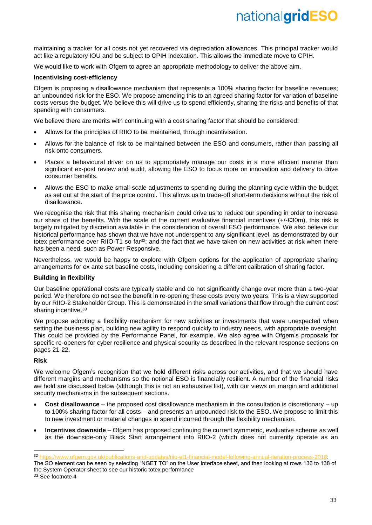maintaining a tracker for all costs not yet recovered via depreciation allowances. This principal tracker would act like a regulatory IOU and be subject to CPIH indexation. This allows the immediate move to CPIH.

We would like to work with Ofgem to agree an appropriate methodology to deliver the above aim.

## **Incentivising cost-efficiency**

Ofgem is proposing a disallowance mechanism that represents a 100% sharing factor for baseline revenues; an unbounded risk for the ESO. We propose amending this to an agreed sharing factor for variation of baseline costs versus the budget. We believe this will drive us to spend efficiently, sharing the risks and benefits of that spending with consumers.

We believe there are merits with continuing with a cost sharing factor that should be considered:

- Allows for the principles of RIIO to be maintained, through incentivisation.
- Allows for the balance of risk to be maintained between the ESO and consumers, rather than passing all risk onto consumers.
- Places a behavioural driver on us to appropriately manage our costs in a more efficient manner than significant ex-post review and audit, allowing the ESO to focus more on innovation and delivery to drive consumer benefits.
- Allows the ESO to make small-scale adjustments to spending during the planning cycle within the budget as set out at the start of the price control. This allows us to trade-off short-term decisions without the risk of disallowance.

We recognise the risk that this sharing mechanism could drive us to reduce our spending in order to increase our share of the benefits. With the scale of the current evaluative financial incentives (+/-£30m), this risk is largely mitigated by discretion available in the consideration of overall ESO performance. We also believe our historical performance has shown that we have not underspent to any significant level, as demonstrated by our totex performance over RIIO-T1 so far<sup>32</sup>; and the fact that we have taken on new activities at risk when there has been a need, such as Power Responsive.

Nevertheless, we would be happy to explore with Ofgem options for the application of appropriate sharing arrangements for ex ante set baseline costs, including considering a different calibration of sharing factor.

# **Building in flexibility**

Our baseline operational costs are typically stable and do not significantly change over more than a two-year period. We therefore do not see the benefit in re-opening these costs every two years. This is a view supported by our RIIO-2 Stakeholder Group. This is demonstrated in the small variations that flow through the current cost sharing incentive.<sup>33</sup>

We propose adopting a flexibility mechanism for new activities or investments that were unexpected when setting the business plan, building new agility to respond quickly to industry needs, with appropriate oversight. This could be provided by the Performance Panel, for example. We also agree with Ofgem's proposals for specific re-openers for cyber resilience and physical security as described in the relevant response sections on pages 21-22.

### **Risk**

-

We welcome Ofgem's recognition that we hold different risks across our activities, and that we should have different margins and mechanisms so the notional ESO is financially resilient. A number of the financial risks we hold are discussed below (although this is not an exhaustive list), with our views on margin and additional security mechanisms in the subsequent sections.

- **Cost disallowance**  the proposed cost disallowance mechanism in the consultation is discretionary up to 100% sharing factor for all costs – and presents an unbounded risk to the ESO. We propose to limit this to new investment or material changes in spend incurred through the flexibility mechanism.
- **Incentives downside**  Ofgem has proposed continuing the current symmetric, evaluative scheme as well as the downside-only Black Start arrangement into RIIO-2 (which does not currently operate as an

<sup>32</sup> [https://www.ofgem.gov.uk/publications-and-updates/riio-et1-financial-model-following-annual-iteration-process-2018:](https://www.ofgem.gov.uk/publications-and-updates/riio-et1-financial-model-following-annual-iteration-process-2018)

The SO element can be seen by selecting "NGET TO" on the User Interface sheet, and then looking at rows 136 to 138 of the System Operator sheet to see our historic totex performance <sup>33</sup> See footnote 4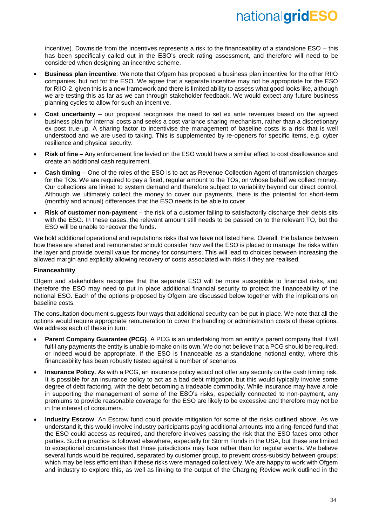incentive). Downside from the incentives represents a risk to the financeability of a standalone ESO – this has been specifically called out in the ESO's credit rating assessment, and therefore will need to be considered when designing an incentive scheme.

- **Business plan incentive**: We note that Ofgem has proposed a business plan incentive for the other RIIO companies, but not for the ESO. We agree that a separate incentive may not be appropriate for the ESO for RIIO-2, given this is a new framework and there is limited ability to assess what good looks like, although we are testing this as far as we can through stakeholder feedback. We would expect any future business planning cycles to allow for such an incentive.
- **Cost uncertainty** our proposal recognises the need to set ex ante revenues based on the agreed business plan for internal costs and seeks a cost variance sharing mechanism, rather than a discretionary ex post true-up. A sharing factor to incentivise the management of baseline costs is a risk that is well understood and we are used to taking. This is supplemented by re-openers for specific items, e.g. cyber resilience and physical security.
- **Risk of fine –** Any enforcement fine levied on the ESO would have a similar effect to cost disallowance and create an additional cash requirement.
- **Cash timing** One of the roles of the ESO is to act as Revenue Collection Agent of transmission charges for the TOs. We are required to pay a fixed, regular amount to the TOs, on whose behalf we collect money. Our collections are linked to system demand and therefore subject to variability beyond our direct control. Although we ultimately collect the money to cover our payments, there is the potential for short-term (monthly and annual) differences that the ESO needs to be able to cover.
- **Risk of customer non-payment** the risk of a customer failing to satisfactorily discharge their debts sits with the ESO. In these cases, the relevant amount still needs to be passed on to the relevant TO, but the ESO will be unable to recover the funds.

We hold additional operational and reputations risks that we have not listed here. Overall, the balance between how these are shared and remunerated should consider how well the ESO is placed to manage the risks within the layer and provide overall value for money for consumers. This will lead to choices between increasing the allowed margin and explicitly allowing recovery of costs associated with risks if they are realised.

# **Financeability**

Ofgem and stakeholders recognise that the separate ESO will be more susceptible to financial risks, and therefore the ESO may need to put in place additional financial security to protect the financeability of the notional ESO. Each of the options proposed by Ofgem are discussed below together with the implications on baseline costs.

The consultation document suggests four ways that additional security can be put in place. We note that all the options would require appropriate remuneration to cover the handling or administration costs of these options. We address each of these in turn:

- **Parent Company Guarantee (PCG).** A PCG is an undertaking from an entity's parent company that it will fulfil any payments the entity is unable to make on its own. We do not believe that a PCG should be required, or indeed would be appropriate, if the ESO is financeable as a standalone notional entity, where this financeability has been robustly tested against a number of scenarios.
- **Insurance Policy**. As with a PCG, an insurance policy would not offer any security on the cash timing risk. It is possible for an insurance policy to act as a bad debt mitigation, but this would typically involve some degree of debt factoring, with the debt becoming a tradeable commodity. While insurance may have a role in supporting the management of some of the ESO's risks, especially connected to non-payment, any premiums to provide reasonable coverage for the ESO are likely to be excessive and therefore may not be in the interest of consumers.
- **Industry Escrow**. An Escrow fund could provide mitigation for some of the risks outlined above. As we understand it, this would involve industry participants paying additional amounts into a ring-fenced fund that the ESO could access as required, and therefore involves passing the risk that the ESO faces onto other parties. Such a practice is followed elsewhere, especially for Storm Funds in the USA, but these are limited to exceptional circumstances that those jurisdictions may face rather than for regular events. We believe several funds would be required, separated by customer group, to prevent cross-subsidy between groups; which may be less efficient than if these risks were managed collectively. We are happy to work with Ofgem and industry to explore this, as well as linking to the output of the Charging Review work outlined in the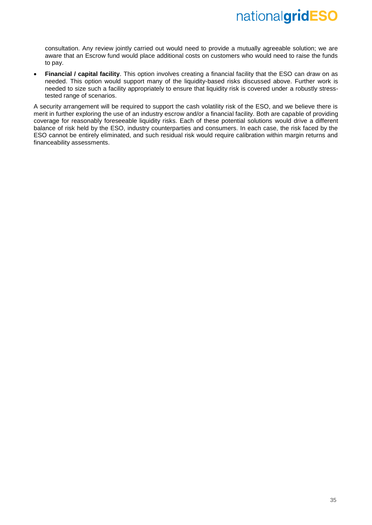consultation. Any review jointly carried out would need to provide a mutually agreeable solution; we are aware that an Escrow fund would place additional costs on customers who would need to raise the funds to pay.

• **Financial / capital facility**. This option involves creating a financial facility that the ESO can draw on as needed. This option would support many of the liquidity-based risks discussed above. Further work is needed to size such a facility appropriately to ensure that liquidity risk is covered under a robustly stresstested range of scenarios.

A security arrangement will be required to support the cash volatility risk of the ESO, and we believe there is merit in further exploring the use of an industry escrow and/or a financial facility. Both are capable of providing coverage for reasonably foreseeable liquidity risks. Each of these potential solutions would drive a different balance of risk held by the ESO, industry counterparties and consumers. In each case, the risk faced by the ESO cannot be entirely eliminated, and such residual risk would require calibration within margin returns and financeability assessments.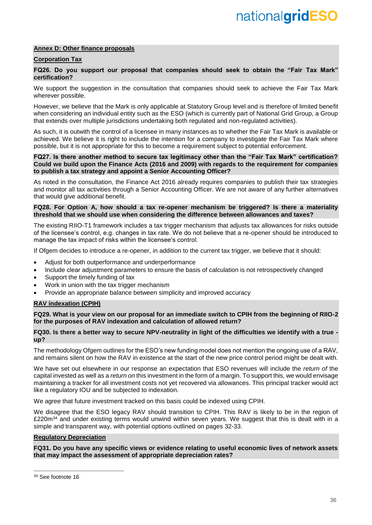## **Annex D: Other finance proposals**

# **Corporation Tax**

### **FQ26. Do you support our proposal that companies should seek to obtain the "Fair Tax Mark" certification?**

We support the suggestion in the consultation that companies should seek to achieve the Fair Tax Mark wherever possible.

However, we believe that the Mark is only applicable at Statutory Group level and is therefore of limited benefit when considering an individual entity such as the ESO (which is currently part of National Grid Group, a Group that extends over multiple jurisdictions undertaking both regulated and non-regulated activities).

As such, it is outwith the control of a licensee in many instances as to whether the Fair Tax Mark is available or achieved. We believe it is right to include the intention for a company to investigate the Fair Tax Mark where possible, but it is not appropriate for this to become a requirement subject to potential enforcement.

### **FQ27. Is there another method to secure tax legitimacy other than the "Fair Tax Mark" certification? Could we build upon the Finance Acts (2016 and 2009) with regards to the requirement for companies to publish a tax strategy and appoint a Senior Accounting Officer?**

As noted in the consultation, the Finance Act 2016 already requires companies to publish their tax strategies and monitor all tax activities through a Senior Accounting Officer. We are not aware of any further alternatives that would give additional benefit.

## **FQ28. For Option A, how should a tax re-opener mechanism be triggered? Is there a materiality threshold that we should use when considering the difference between allowances and taxes?**

The existing RIIO-T1 framework includes a tax trigger mechanism that adjusts tax allowances for risks outside of the licensee's control, e.g. changes in tax rate. We do not believe that a re-opener should be introduced to manage the tax impact of risks within the licensee's control.

If Ofgem decides to introduce a re-opener, in addition to the current tax trigger, we believe that it should:

- Adjust for both outperformance and underperformance
- Include clear adjustment parameters to ensure the basis of calculation is not retrospectively changed
- Support the timely funding of tax
- Work in union with the tax trigger mechanism
- Provide an appropriate balance between simplicity and improved accuracy

# **RAV indexation (CPIH)**

**FQ29. What is your view on our proposal for an immediate switch to CPIH from the beginning of RIIO-2 for the purposes of RAV indexation and calculation of allowed return?**

#### **FQ30. Is there a better way to secure NPV-neutrality in light of the difficulties we identify with a true up?**

The methodology Ofgem outlines for the ESO's new funding model does not mention the ongoing use of a RAV, and remains silent on how the RAV in existence at the start of the new price control period might be dealt with.

We have set out elsewhere in our response an expectation that ESO revenues will include the *return of* the capital invested as well as a *return on* this investment in the form of a margin. To support this, we would envisage maintaining a tracker for all investment costs not yet recovered via allowances. This principal tracker would act like a regulatory IOU and be subjected to indexation.

We agree that future investment tracked on this basis could be indexed using CPIH.

We disagree that the ESO legacy RAV should transition to CPIH. This RAV is likely to be in the region of £220 $m^{34}$  and under existing terms would unwind within seven years. We suggest that this is dealt with in a simple and transparent way, with potential options outlined on pages 32-33.

#### **Regulatory Depreciation**

**FQ31. Do you have any specific views or evidence relating to useful economic lives of network assets that may impact the assessment of appropriate depreciation rates?**

 $\overline{a}$ 

<sup>34</sup> See footnote 16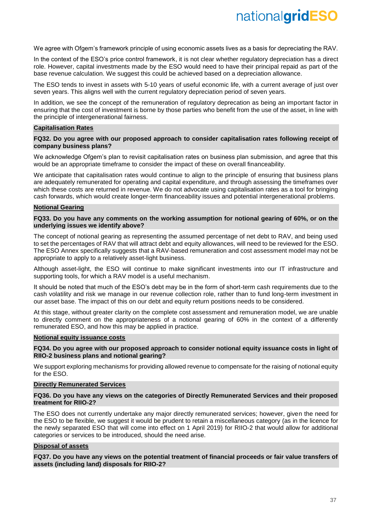We agree with Ofgem's framework principle of using economic assets lives as a basis for depreciating the RAV.

In the context of the ESO's price control framework, it is not clear whether regulatory depreciation has a direct role. However, capital investments made by the ESO would need to have their principal repaid as part of the base revenue calculation. We suggest this could be achieved based on a depreciation allowance.

The ESO tends to invest in assets with 5-10 years of useful economic life, with a current average of just over seven years. This aligns well with the current regulatory depreciation period of seven years.

In addition, we see the concept of the remuneration of regulatory deprecation as being an important factor in ensuring that the cost of investment is borne by those parties who benefit from the use of the asset, in line with the principle of intergenerational fairness.

#### **Capitalisation Rates**

#### **FQ32. Do you agree with our proposed approach to consider capitalisation rates following receipt of company business plans?**

We acknowledge Ofgem's plan to revisit capitalisation rates on business plan submission, and agree that this would be an appropriate timeframe to consider the impact of these on overall financeability.

We anticipate that capitalisation rates would continue to align to the principle of ensuring that business plans are adequately remunerated for operating and capital expenditure, and through assessing the timeframes over which these costs are returned in revenue. We do not advocate using capitalisation rates as a tool for bringing cash forwards, which would create longer-term financeability issues and potential intergenerational problems.

### **Notional Gearing**

#### **FQ33. Do you have any comments on the working assumption for notional gearing of 60%, or on the underlying issues we identify above?**

The concept of notional gearing as representing the assumed percentage of net debt to RAV, and being used to set the percentages of RAV that will attract debt and equity allowances, will need to be reviewed for the ESO. The ESO Annex specifically suggests that a RAV-based remuneration and cost assessment model may not be appropriate to apply to a relatively asset-light business.

Although asset-light, the ESO will continue to make significant investments into our IT infrastructure and supporting tools, for which a RAV model is a useful mechanism.

It should be noted that much of the ESO's debt may be in the form of short-term cash requirements due to the cash volatility and risk we manage in our revenue collection role, rather than to fund long-term investment in our asset base. The impact of this on our debt and equity return positions needs to be considered.

At this stage, without greater clarity on the complete cost assessment and remuneration model, we are unable to directly comment on the appropriateness of a notional gearing of 60% in the context of a differently remunerated ESO, and how this may be applied in practice.

#### **Notional equity issuance costs**

**FQ34. Do you agree with our proposed approach to consider notional equity issuance costs in light of RIIO-2 business plans and notional gearing?**

We support exploring mechanisms for providing allowed revenue to compensate for the raising of notional equity for the ESO.

### **Directly Remunerated Services**

#### **FQ36. Do you have any views on the categories of Directly Remunerated Services and their proposed treatment for RIIO-2?**

The ESO does not currently undertake any major directly remunerated services; however, given the need for the ESO to be flexible, we suggest it would be prudent to retain a miscellaneous category (as in the licence for the newly separated ESO that will come into effect on 1 April 2019) for RIIO-2 that would allow for additional categories or services to be introduced, should the need arise.

# **Disposal of assets**

**FQ37. Do you have any views on the potential treatment of financial proceeds or fair value transfers of assets (including land) disposals for RIIO-2?**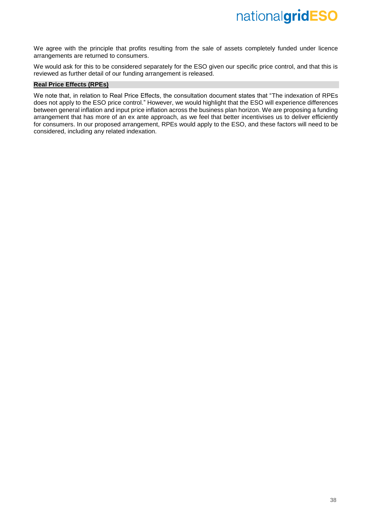We agree with the principle that profits resulting from the sale of assets completely funded under licence arrangements are returned to consumers.

We would ask for this to be considered separately for the ESO given our specific price control, and that this is reviewed as further detail of our funding arrangement is released.

# **Real Price Effects (RPEs)**

We note that, in relation to Real Price Effects, the consultation document states that "The indexation of RPEs does not apply to the ESO price control." However, we would highlight that the ESO will experience differences between general inflation and input price inflation across the business plan horizon. We are proposing a funding arrangement that has more of an ex ante approach, as we feel that better incentivises us to deliver efficiently for consumers. In our proposed arrangement, RPEs would apply to the ESO, and these factors will need to be considered, including any related indexation.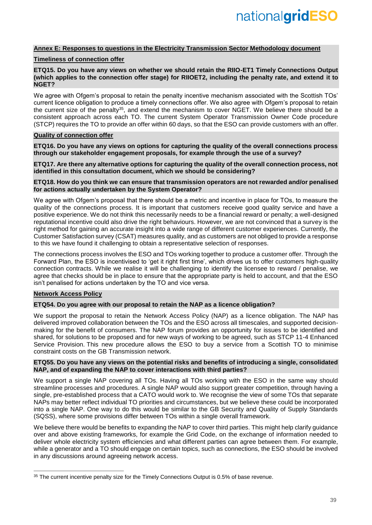# **Annex E: Responses to questions in the Electricity Transmission Sector Methodology document**

## **Timeliness of connection offer**

### **ETQ15. Do you have any views on whether we should retain the RIIO-ET1 Timely Connections Output (which applies to the connection offer stage) for RIIOET2, including the penalty rate, and extend it to NGET?**

We agree with Ofgem's proposal to retain the penalty incentive mechanism associated with the Scottish TOs' current licence obligation to produce a timely connections offer. We also agree with Ofgem's proposal to retain the current size of the penalty<sup>35</sup>, and extend the mechanism to cover NGET. We believe there should be a consistent approach across each TO. The current System Operator Transmission Owner Code procedure (STCP) requires the TO to provide an offer within 60 days, so that the ESO can provide customers with an offer.

# **Quality of connection offer**

**ETQ16. Do you have any views on options for capturing the quality of the overall connections process through our stakeholder engagement proposals, for example through the use of a survey?**

#### **ETQ17. Are there any alternative options for capturing the quality of the overall connection process, not identified in this consultation document, which we should be considering?**

### **ETQ18. How do you think we can ensure that transmission operators are not rewarded and/or penalised for actions actually undertaken by the System Operator?**

We agree with Ofgem's proposal that there should be a metric and incentive in place for TOs, to measure the quality of the connections process. It is important that customers receive good quality service and have a positive experience. We do not think this necessarily needs to be a financial reward or penalty; a well-designed reputational incentive could also drive the right behaviours. However, we are not convinced that a survey is the right method for gaining an accurate insight into a wide range of different customer experiences. Currently, the Customer Satisfaction survey (CSAT) measures quality, and as customers are not obliged to provide a response to this we have found it challenging to obtain a representative selection of responses.

The connections process involves the ESO and TOs working together to produce a customer offer. Through the Forward Plan, the ESO is incentivised to 'get it right first time', which drives us to offer customers high-quality connection contracts. While we realise it will be challenging to identify the licensee to reward / penalise, we agree that checks should be in place to ensure that the appropriate party is held to account, and that the ESO isn't penalised for actions undertaken by the TO and vice versa.

# **Network Access Policy**

 $\overline{a}$ 

# **ETQ54. Do you agree with our proposal to retain the NAP as a licence obligation?**

We support the proposal to retain the Network Access Policy (NAP) as a licence obligation. The NAP has delivered improved collaboration between the TOs and the ESO across all timescales, and supported decisionmaking for the benefit of consumers. The NAP forum provides an opportunity for issues to be identified and shared, for solutions to be proposed and for new ways of working to be agreed, such as STCP 11-4 Enhanced Service Provision. This new procedure allows the ESO to buy a service from a Scottish TO to minimise constraint costs on the GB Transmission network.

#### **ETQ55. Do you have any views on the potential risks and benefits of introducing a single, consolidated NAP, and of expanding the NAP to cover interactions with third parties?**

We support a single NAP covering all TOs. Having all TOs working with the ESO in the same way should streamline processes and procedures. A single NAP would also support greater competition, through having a single, pre-established process that a CATO would work to. We recognise the view of some TOs that separate NAPs may better reflect individual TO priorities and circumstances, but we believe these could be incorporated into a single NAP. One way to do this would be similar to the GB Security and Quality of Supply Standards (SQSS), where some provisions differ between TOs within a single overall framework.

We believe there would be benefits to expanding the NAP to cover third parties. This might help clarify guidance over and above existing frameworks, for example the Grid Code, on the exchange of information needed to deliver whole electricity system efficiencies and what different parties can agree between them. For example, while a generator and a TO should engage on certain topics, such as connections, the ESO should be involved in any discussions around agreeing network access.

<sup>&</sup>lt;sup>35</sup> The current incentive penalty size for the Timely Connections Output is 0.5% of base revenue.